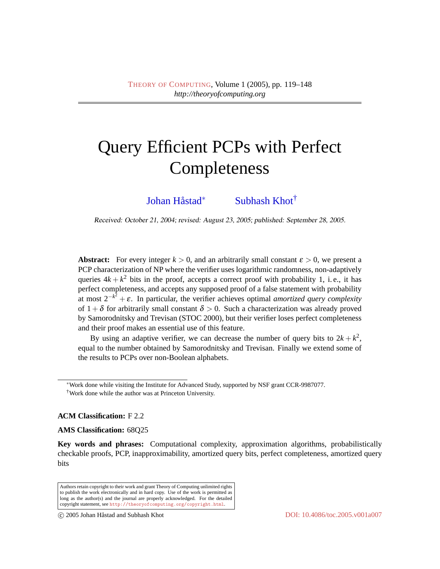# Query Efficient PCPs with Perfect Completeness

Johan Håstad<sup>\*</sup> [Subhash Khot](#page-28-1)<sup>†</sup>

Received: October 21, 2004; revised: August 23, 2005; published: September 28, 2005.

**Abstract:** For every integer  $k > 0$ , and an arbitrarily small constant  $\varepsilon > 0$ , we present a PCP characterization of NP where the verifier uses logarithmic randomness, non-adaptively queries  $4k + k^2$  bits in the proof, accepts a correct proof with probability 1, i.e., it has perfect completeness, and accepts any supposed proof of a false statement with probability at most  $2^{-k^2} + \varepsilon$ . In particular, the verifier achieves optimal *amortized query complexity* of  $1 + \delta$  for arbitrarily small constant  $\delta > 0$ . Such a characterization was already proved by Samorodnitsky and Trevisan (STOC 2000), but their verifier loses perfect completeness and their proof makes an essential use of this feature.

By using an adaptive verifier, we can decrease the number of query bits to  $2k + k^2$ , equal to the number obtained by Samorodnitsky and Trevisan. Finally we extend some of the results to PCPs over non-Boolean alphabets.

**ACM Classification:** F 2.2

**AMS Classification:** 68Q25

**Key words and phrases:** Computational complexity, approximation algorithms, probabilistically checkable proofs, PCP, inapproximability, amortized query bits, perfect completeness, amortized query bits

Authors retain copyright to their work and grant Theory of Computing unlimited rights to publish the work electronically and in hard copy. Use of the work is permitted as long as the author(s) and the journal are properly acknowledged. For the detailed copyright statement, see <http://theoryofcomputing.org/copyright.html>.

<sup>∗</sup>Work done while visiting the Institute for Advanced Study, supported by NSF grant CCR-9987077.

<sup>†</sup>Work done while the author was at Princeton University.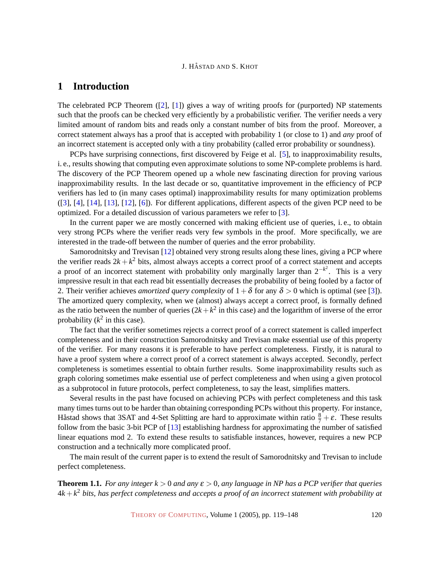# <span id="page-1-1"></span>**1 Introduction**

The celebrated PCP Theorem ([\[2\]](#page-27-0), [\[1\]](#page-27-1)) gives a way of writing proofs for (purported) NP statements such that the proofs can be checked very efficiently by a probabilistic verifier. The verifier needs a very limited amount of random bits and reads only a constant number of bits from the proof. Moreover, a correct statement always has a proof that is accepted with probability 1 (or close to 1) and *any* proof of an incorrect statement is accepted only with a tiny probability (called error probability or soundness).

PCPs have surprising connections, first discovered by Feige et al. [\[5\]](#page-27-2), to inapproximability results, i. e., results showing that computing even approximate solutions to some NP-complete problems is hard. The discovery of the PCP Theorem opened up a whole new fascinating direction for proving various inapproximability results. In the last decade or so, quantitative improvement in the efficiency of PCP verifiers has led to (in many cases optimal) inapproximability results for many optimization problems ([\[3\]](#page-27-3), [\[4\]](#page-27-4), [\[14\]](#page-28-2), [\[13\]](#page-28-3), [\[12\]](#page-28-4), [\[6\]](#page-27-5)). For different applications, different aspects of the given PCP need to be optimized. For a detailed discussion of various parameters we refer to [\[3\]](#page-27-3).

In the current paper we are mostly concerned with making efficient use of queries, i. e., to obtain very strong PCPs where the verifier reads very few symbols in the proof. More specifically, we are interested in the trade-off between the number of queries and the error probability.

Samorodnitsky and Trevisan [\[12\]](#page-28-4) obtained very strong results along these lines, giving a PCP where the verifier reads  $2k + k^2$  bits, almost always accepts a correct proof of a correct statement and accepts a proof of an incorrect statement with probability only marginally larger than  $2^{-k^2}$ . This is a very impressive result in that each read bit essentially decreases the probability of being fooled by a factor of 2. Their verifier achieves *amortized query complexity* of  $1+\delta$  for any  $\delta > 0$  which is optimal (see [\[3\]](#page-27-3)). The amortized query complexity, when we (almost) always accept a correct proof, is formally defined as the ratio between the number of queries  $(2k + k^2)$  in this case) and the logarithm of inverse of the error probability  $(k^2$  in this case).

The fact that the verifier sometimes rejects a correct proof of a correct statement is called imperfect completeness and in their construction Samorodnitsky and Trevisan make essential use of this property of the verifier. For many reasons it is preferable to have perfect completeness. Firstly, it is natural to have a proof system where a correct proof of a correct statement is always accepted. Secondly, perfect completeness is sometimes essential to obtain further results. Some inapproximability results such as graph coloring sometimes make essential use of perfect completeness and when using a given protocol as a subprotocol in future protocols, perfect completeness, to say the least, simplifies matters.

Several results in the past have focused on achieving PCPs with perfect completeness and this task many times turns out to be harder than obtaining corresponding PCPs without this property. For instance, Håstad shows that 3SAT and 4-Set Splitting are hard to approximate within ratio  $\frac{8}{7} + \varepsilon$ . These results follow from the basic 3-bit PCP of [\[13\]](#page-28-3) establishing hardness for approximating the number of satisfied linear equations mod 2. To extend these results to satisfiable instances, however, requires a new PCP construction and a technically more complicated proof.

The main result of the current paper is to extend the result of Samorodnitsky and Trevisan to include perfect completeness.

<span id="page-1-0"></span>**Theorem 1.1.** *For any integer k*  $> 0$  *and any*  $\varepsilon > 0$ *, any language in NP has a PCP verifier that queries*  $4k + k<sup>2</sup>$  *bits, has perfect completeness and accepts a proof of an incorrect statement with probability at*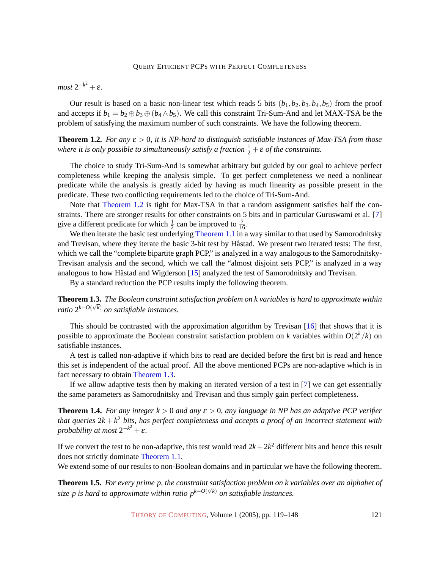$most 2^{-k^2} + \varepsilon.$ 

Our result is based on a basic non-linear test which reads 5 bits  $(b_1, b_2, b_3, b_4, b_5)$  from the proof and accepts if  $b_1 = b_2 \oplus b_3 \oplus (b_4 \wedge b_5)$ . We call this constraint Tri-Sum-And and let MAX-TSA be the problem of satisfying the maximum number of such constraints. We have the following theorem.

<span id="page-2-0"></span>**Theorem 1.2.** *For any*  $\varepsilon > 0$ , *it is NP-hard to distinguish satisfiable instances of Max-TSA from those* where it is only possible to simultaneously satisfy a fraction  $\frac{1}{2} + \varepsilon$  of the constraints.

The choice to study Tri-Sum-And is somewhat arbitrary but guided by our goal to achieve perfect completeness while keeping the analysis simple. To get perfect completeness we need a nonlinear predicate while the analysis is greatly aided by having as much linearity as possible present in the predicate. These two conflicting requirements led to the choice of Tri-Sum-And.

Note that [Theorem 1.2](#page-2-0) is tight for Max-TSA in that a random assignment satisfies half the constraints. There are stronger results for other constraints on 5 bits and in particular Guruswami et al. [\[7\]](#page-27-6) give a different predicate for which  $\frac{1}{2}$  can be improved to  $\frac{7}{16}$ .

We then iterate the basic test underlying [Theorem 1.1](#page-1-0) in a way similar to that used by Samorodnitsky and Trevisan, where they iterate the basic 3-bit test by Håstad. We present two iterated tests: The first, which we call the "complete bipartite graph PCP," is analyzed in a way analogous to the Samorodnitsky-Trevisan analysis and the second, which we call the "almost disjoint sets PCP," is analyzed in a way analogous to how Håstad and Wigderson [[15\]](#page-28-5) analyzed the test of Samorodnitsky and Trevisan.

By a standard reduction the PCP results imply the following theorem.

<span id="page-2-1"></span>**Theorem 1.3.** *The Boolean constraint satisfaction problem on k variables is hard to approximate within* √ *ratio* 2 *k*−*O*( *<sup>k</sup>*) *on satisfiable instances.*

This should be contrasted with the approximation algorithm by Trevisan [\[16\]](#page-28-6) that shows that it is possible to approximate the Boolean constraint satisfaction problem on *k* variables within  $O(2^k/k)$  on satisfiable instances.

A test is called non-adaptive if which bits to read are decided before the first bit is read and hence this set is independent of the actual proof. All the above mentioned PCPs are non-adaptive which is in fact necessary to obtain [Theorem 1.3.](#page-2-1)

If we allow adaptive tests then by making an iterated version of a test in [\[7\]](#page-27-6) we can get essentially the same parameters as Samorodnitsky and Trevisan and thus simply gain perfect completeness.

<span id="page-2-2"></span>**Theorem 1.4.** *For any integer*  $k > 0$  *and any*  $\epsilon > 0$ , *any language in NP has an adaptive PCP verifier that queries* 2*k* + *k* <sup>2</sup> *bits, has perfect completeness and accepts a proof of an incorrect statement with probability at most*  $2^{-k^2} + \varepsilon$ *.* 

If we convert the test to be non-adaptive, this test would read  $2k + 2k^2$  different bits and hence this result does not strictly dominate [Theorem 1.1.](#page-1-0)

<span id="page-2-3"></span>We extend some of our results to non-Boolean domains and in particular we have the following theorem.

**Theorem 1.5.** *For every prime p, the constraint satisfaction problem on k variables over an alphabet of* √ *size p is hard to approximate within ratio pk*−*O*( *<sup>k</sup>*) *on satisfiable instances.*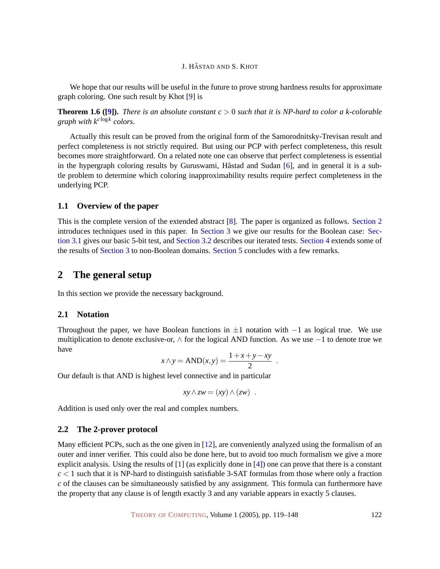We hope that our results will be useful in the future to prove strong hardness results for approximate graph coloring. One such result by Khot [\[9\]](#page-28-7) is

<span id="page-3-2"></span>**Theorem 1.6 ([\[9\]](#page-28-7)).** *There is an absolute constant*  $c > 0$  *such that it is NP-hard to color a k-colorable graph with k<sup>c</sup>* log*<sup>k</sup> colors.*

Actually this result can be proved from the original form of the Samorodnitsky-Trevisan result and perfect completeness is not strictly required. But using our PCP with perfect completeness, this result becomes more straightforward. On a related note one can observe that perfect completeness is essential in the hypergraph coloring results by Guruswami, Håstad and Sudan [[6\]](#page-27-5), and in general it is a subtle problem to determine which coloring inapproximability results require perfect completeness in the underlying PCP.

## <span id="page-3-3"></span>**1.1 Overview of the paper**

This is the complete version of the extended abstract [\[8\]](#page-28-8). The paper is organized as follows. [Section](#page-3-0) [2](#page-3-0) introduces techniques used in this paper. In Section [3](#page-7-0) [we give our results for the Boolean case:](#page-7-0) [Sec](#page-7-1)tion [3.1](#page-7-1) [gives our basic 5-bit test, and](#page-7-1) Section [3.2](#page-10-0) [describes our iterated tests.](#page-10-0) Section [4](#page-21-0) [extends some of](#page-21-0) the results of Section [3](#page-7-0) [to non-Boolean domains.](#page-7-0) Section [5](#page-27-7) [concludes with a few remarks.](#page-7-0)

# <span id="page-3-0"></span>**2 The general setup**

In this section we provide the necessary background.

#### **2.1 Notation**

Throughout the paper, we have Boolean functions in  $\pm 1$  notation with  $-1$  as logical true. We use multiplication to denote exclusive-or, ∧ for the logical AND function. As we use −1 to denote true we have

$$
x \wedge y = AND(x, y) = \frac{1 + x + y - xy}{2} .
$$

Our default is that AND is highest level connective and in particular

$$
xy \wedge zw = (xy) \wedge (zw) .
$$

Addition is used only over the real and complex numbers.

#### <span id="page-3-1"></span>**2.2 The 2-prover protocol**

Many efficient PCPs, such as the one given in [\[12\]](#page-28-4), are conveniently analyzed using the formalism of an outer and inner verifier. This could also be done here, but to avoid too much formalism we give a more explicit analysis. Using the results of [\[1\]](#page-27-1) (as explicitly done in [\[4\]](#page-27-4)) one can prove that there is a constant  $c < 1$  such that it is NP-hard to distinguish satisfiable 3-SAT formulas from those where only a fraction *c* of the clauses can be simultaneously satisfied by any assignment. This formula can furthermore have the property that any clause is of length exactly 3 and any variable appears in exactly 5 clauses.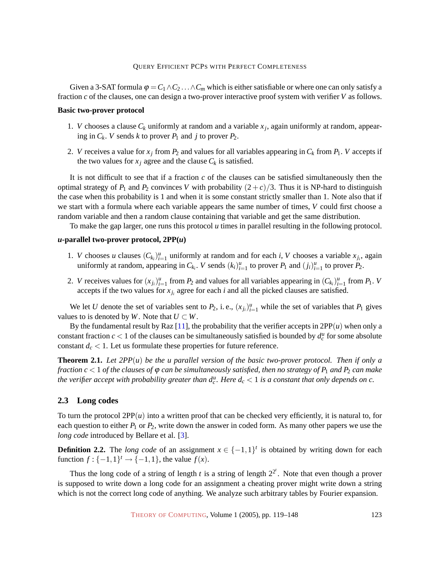Given a 3-SAT formula  $\varphi = C_1 \wedge C_2 \ldots \wedge C_m$  which is either satisfiable or where one can only satisfy a fraction *c* of the clauses, one can design a two-prover interactive proof system with verifier *V* as follows.

#### **Basic two-prover protocol**

- 1. *V* chooses a clause  $C_k$  uniformly at random and a variable  $x_j$ , again uniformly at random, appearing in  $C_k$ . *V* sends *k* to prover  $P_1$  and *j* to prover  $P_2$ .
- 2. *V* receives a value for  $x_j$  from  $P_2$  and values for all variables appearing in  $C_k$  from  $P_1$ . *V* accepts if the two values for  $x_j$  agree and the clause  $C_k$  is satisfied.

It is not difficult to see that if a fraction *c* of the clauses can be satisfied simultaneously then the optimal strategy of  $P_1$  and  $P_2$  convinces *V* with probability  $(2+c)/3$ . Thus it is NP-hard to distinguish the case when this probability is 1 and when it is some constant strictly smaller than 1. Note also that if we start with a formula where each variable appears the same number of times, *V* could first choose a random variable and then a random clause containing that variable and get the same distribution.

To make the gap larger, one runs this protocol *u* times in parallel resulting in the following protocol.

#### *u***-parallel two-prover protocol, 2PP(***u***)**

- 1. *V* chooses *u* clauses  $(C_{k_i})_{i=1}^u$  uniformly at random and for each *i*, *V* chooses a variable  $x_{j_i}$ , again uniformly at random, appearing in  $C_{k_i}$ . *V* sends  $(k_i)_{i=1}^u$  to prover  $P_1$  and  $(j_i)_{i=1}^u$  to prover  $P_2$ .
- <span id="page-4-2"></span>2. *V* receives values for  $(x_j)_{i=1}^u$  from  $P_2$  and values for all variables appearing in  $(C_{k_i})_{i=1}^u$  from  $P_1$ . *V* accepts if the two values for  $x_{j_i}$  agree for each *i* and all the picked clauses are satisfied.

We let *U* denote the set of variables sent to  $P_2$ , i.e.,  $(x_{j_i})_{i=1}^u$  while the set of variables that  $P_1$  gives values to is denoted by *W*. Note that  $U \subset W$ .

By the fundamental result by Raz  $[11]$ , the probability that the verifier accepts in  $2PP(u)$  when only a constant fraction  $c < 1$  of the clauses can be simultaneously satisfied is bounded by  $d_c^u$  for some absolute constant  $d_c < 1$ . Let us formulate these properties for future reference.

<span id="page-4-0"></span>**Theorem 2.1.** *Let 2PP*(*u*) *be the u parallel version of the basic two-prover protocol. Then if only a fraction c* < 1 *of the clauses of*  $\varphi$  *can be simultaneously satisfied, then no strategy of*  $P_1$  *and*  $P_2$  *can make the verifier accept with probability greater than*  $d_c^u$ *. Here*  $d_c < 1$  *is a constant that only depends on c.* 

#### <span id="page-4-1"></span>**2.3 Long codes**

To turn the protocol  $2PP(u)$  into a written proof that can be checked very efficiently, it is natural to, for each question to either  $P_1$  or  $P_2$ , write down the answer in coded form. As many other papers we use the *long code* introduced by Bellare et al. [\[3\]](#page-27-3).

**Definition 2.2.** The *long code* of an assignment  $x \in \{-1,1\}^t$  is obtained by writing down for each function  $f: \{-1, 1\}^t \to \{-1, 1\}$ , the value  $f(x)$ .

Thus the long code of a string of length *t* is a string of length  $2^{2^t}$ . Note that even though a prover is supposed to write down a long code for an assignment a cheating prover might write down a string which is not the correct long code of anything. We analyze such arbitrary tables by Fourier expansion.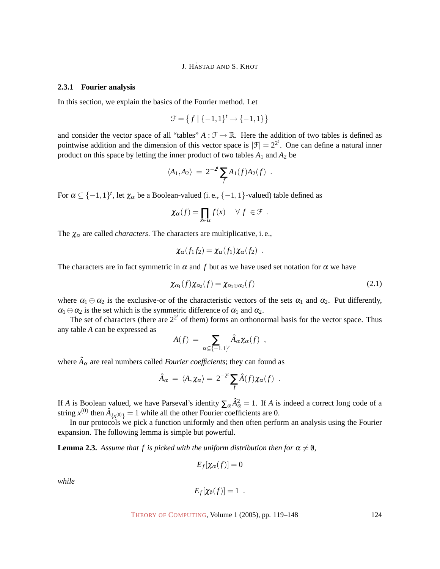#### **2.3.1 Fourier analysis**

In this section, we explain the basics of the Fourier method. Let

$$
\mathcal{F}=\left\{f\mid \{-1,1\}^t\rightarrow \{-1,1\}\right\}
$$

and consider the vector space of all "tables"  $A : \mathcal{F} \to \mathbb{R}$ . Here the addition of two tables is defined as pointwise addition and the dimension of this vector space is  $|\mathcal{F}| = 2^{2^t}$ . One can define a natural inner product on this space by letting the inner product of two tables  $A_1$  and  $A_2$  be

$$
\langle A_1, A_2 \rangle = 2^{-2^t} \sum_f A_1(f) A_2(f) .
$$

For  $\alpha \subseteq \{-1,1\}^t$ , let  $\chi_\alpha$  be a Boolean-valued (i. e.,  $\{-1,1\}$ -valued) table defined as

$$
\chi_{\alpha}(f) = \prod_{x \in \alpha} f(x) \quad \forall f \in \mathcal{F} .
$$

The  $\chi_{\alpha}$  are called *characters*. The characters are multiplicative, i.e.,

$$
\chi_{\alpha}(f_1f_2)=\chi_{\alpha}(f_1)\chi_{\alpha}(f_2) .
$$

The characters are in fact symmetric in  $\alpha$  and f but as we have used set notation for  $\alpha$  we have

<span id="page-5-0"></span>
$$
\chi_{\alpha_1}(f)\chi_{\alpha_2}(f) = \chi_{\alpha_1 \oplus \alpha_2}(f) \tag{2.1}
$$

where  $\alpha_1 \oplus \alpha_2$  is the exclusive-or of the characteristic vectors of the sets  $\alpha_1$  and  $\alpha_2$ . Put differently,  $\alpha_1 \oplus \alpha_2$  is the set which is the symmetric difference of  $\alpha_1$  and  $\alpha_2$ .

The set of characters (there are  $2^{2^t}$  of them) forms an orthonormal basis for the vector space. Thus any table *A* can be expressed as

$$
A(f) = \sum_{\alpha \subseteq \{-1,1\}^t} \hat{A}_{\alpha} \chi_{\alpha}(f) ,
$$

where  $\hat{A}_{\alpha}$  are real numbers called *Fourier coefficients*; they can found as

$$
\hat{A}_{\alpha} = \langle A, \chi_{\alpha} \rangle = 2^{-2^{t}} \sum_{f} \hat{A}(f) \chi_{\alpha}(f) .
$$

If *A* is Boolean valued, we have Parseval's identity  $\sum_{\alpha} \hat{A}_{\alpha}^2 = 1$ . If *A* is indeed a correct long code of a string  $x^{(0)}$  then  $\hat{A}_{\{x^{(0)}\}} = 1$  while all the other Fourier coefficients are 0.

In our protocols we pick a function uniformly and then often perform an analysis using the Fourier expansion. The following lemma is simple but powerful.

<span id="page-5-1"></span>**Lemma 2.3.** *Assume that f is picked with the uniform distribution then for*  $\alpha \neq 0$ *,* 

$$
E_f[\chi_\alpha(f)]=0
$$

*while*

$$
E_f[\chi_0(f)]=1.
$$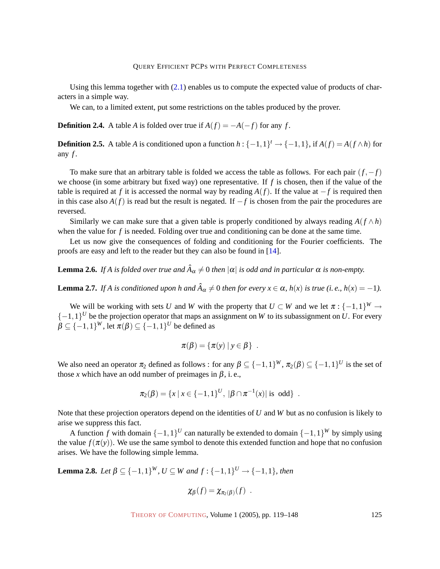Using this lemma together with  $(2.1)$  enables us to compute the expected value of products of characters in a simple way.

We can, to a limited extent, put some restrictions on the tables produced by the prover.

**Definition 2.4.** A table *A* is folded over true if  $A(f) = -A(-f)$  for any *f*.

<span id="page-6-3"></span>**Definition 2.5.** A table *A* is conditioned upon a function  $h: \{-1,1\}^t \rightarrow \{-1,1\}$ , if  $A(f) = A(f \wedge h)$  for any *f* .

To make sure that an arbitrary table is folded we access the table as follows. For each pair (*f*,−*f*) we choose (in some arbitrary but fixed way) one representative. If  $f$  is chosen, then if the value of the table is required at *f* it is accessed the normal way by reading  $A(f)$ . If the value at  $-f$  is required then in this case also *A*(*f*) is read but the result is negated. If −*f* is chosen from the pair the procedures are reversed.

Similarly we can make sure that a given table is properly conditioned by always reading  $A(f \wedge h)$ when the value for *f* is needed. Folding over true and conditioning can be done at the same time.

Let us now give the consequences of folding and conditioning for the Fourier coefficients. The proofs are easy and left to the reader but they can also be found in [\[14\]](#page-28-2).

<span id="page-6-1"></span>**Lemma 2.6.** If A is folded over true and  $\hat{A}_{\alpha} \neq 0$  then  $|\alpha|$  is odd and in particular  $\alpha$  is non-empty.

<span id="page-6-2"></span>**Lemma 2.7.** *If A is conditioned upon h and*  $\hat{A}_{\alpha} \neq 0$  *then for every*  $x \in \alpha$ ,  $h(x)$  *is true* (*i. e.,*  $h(x) = -1$ ).

We will be working with sets *U* and *W* with the property that  $U \subset W$  and we let  $\pi$  :  $\{-1,1\}^W \to$  $\{-1,1\}^U$  be the projection operator that maps an assignment on *W* to its subassignment on *U*. For every  $\beta \subseteq \{-1,1\}^W$ , let  $\pi(\beta) \subseteq \{-1,1\}^U$  be defined as

$$
\pi(\beta) = \{\pi(y) \mid y \in \beta\} .
$$

We also need an operator  $\pi_2$  defined as follows : for any  $\beta \subseteq \{-1,1\}^W$ ,  $\pi_2(\beta) \subseteq \{-1,1\}^U$  is the set of those *x* which have an odd number of preimages in  $\beta$ , i.e.,

$$
\pi_2(\beta) = \{x \mid x \in \{-1,1\}^U, \ |\beta \cap \pi^{-1}(x)| \text{ is odd} \} .
$$

Note that these projection operators depend on the identities of *U* and *W* but as no confusion is likely to arise we suppress this fact.

A function *f* with domain  $\{-1,1\}^U$  can naturally be extended to domain  $\{-1,1\}^W$  by simply using the value  $f(\pi(y))$ . We use the same symbol to denote this extended function and hope that no confusion arises. We have the following simple lemma.

<span id="page-6-0"></span>**Lemma 2.8.** *Let*  $\beta \subseteq \{-1,1\}^W$ *, U* ⊆ *W* and  $f: \{-1,1\}^U \rightarrow \{-1,1\}$ *, then* 

$$
\chi_{\beta}(f)=\chi_{\pi_2(\beta)}(f) .
$$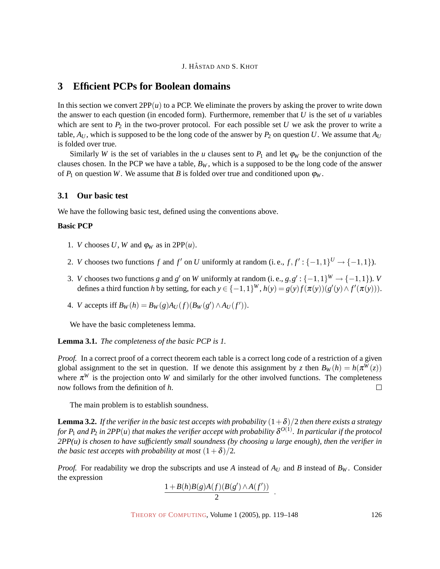# <span id="page-7-0"></span>**3 Efficient PCPs for Boolean domains**

In this section we convert  $2PP(u)$  to a PCP. We eliminate the provers by asking the prover to write down the answer to each question (in encoded form). Furthermore, remember that *U* is the set of *u* variables which are sent to  $P_2$  in the two-prover protocol. For each possible set *U* we ask the prover to write a table,  $A_U$ , which is supposed to be the long code of the answer by  $P_2$  on question *U*. We assume that  $A_U$ is folded over true.

Similarly *W* is the set of variables in the *u* clauses sent to  $P_1$  and let  $\varphi_W$  be the conjunction of the clauses chosen. In the PCP we have a table,  $B_W$ , which is a supposed to be the long code of the answer of  $P_1$  on question *W*. We assume that *B* is folded over true and conditioned upon  $\varphi_W$ .

#### <span id="page-7-1"></span>**3.1 Our basic test**

We have the following basic test, defined using the conventions above.

### **Basic PCP**

- 1. *V* chooses *U*, *W* and  $\varphi_W$  as in 2PP(*u*).
- 2. *V* chooses two functions *f* and *f'* on *U* uniformly at random (i.e.,  $f, f' : \{-1,1\}^U \rightarrow \{-1,1\}$ ).
- 3. *V* chooses two functions *g* and *g*' on *W* uniformly at random (i.e.,  $g, g' : \{-1, 1\}^W \to \{-1, 1\}$ ). *V* defines a third function *h* by setting, for each  $y \in \{-1,1\}^W$ ,  $h(y) = g(y)f(\pi(y))(g'(y) \wedge f'(\pi(y))).$
- 4. *V* accepts iff  $B_W(h) = B_W(g)A_U(f)(B_W(g') \wedge A_U(f')).$

We have the basic completeness lemma.

**Lemma 3.1.** *The completeness of the basic PCP is 1.*

*Proof.* In a correct proof of a correct theorem each table is a correct long code of a restriction of a given global assignment to the set in question. If we denote this assignment by *z* then  $B_W(h) = h(\pi^W(z))$ where  $\pi^W$  is the projection onto *W* and similarly for the other involved functions. The completeness now follows from the definition of *h*.  $\Box$ 

The main problem is to establish soundness.

<span id="page-7-2"></span>**Lemma 3.2.** *If the verifier in the basic test accepts with probability*  $(1+\delta)/2$  *then there exists a strategy* for  $P_1$  and  $P_2$  in 2PP $(u)$  that makes the verifier accept with probability  $\delta^{O(1)}.$  In particular if the protocol *2PP(u) is chosen to have sufficiently small soundness (by choosing u large enough), then the verifier in the basic test accepts with probability at most*  $(1+\delta)/2$ *.* 

*Proof.* For readability we drop the subscripts and use *A* instead of  $A_U$  and *B* instead of  $B_W$ . Consider the expression

$$
\frac{1+B(h)B(g)A(f)(B(g') \wedge A(f'))}{2}
$$

.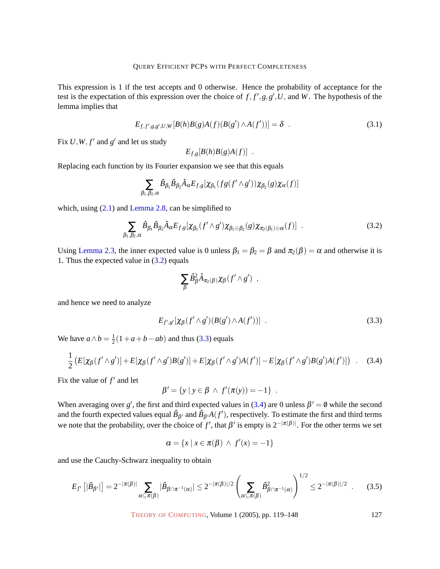This expression is 1 if the test accepts and 0 otherwise. Hence the probability of acceptance for the test is the expectation of this expression over the choice of  $f, f', g, g', U$ , and W. The hypothesis of the lemma implies that

<span id="page-8-3"></span>
$$
E_{f,f',g,g',U,W}[B(h)B(g)A(f)(B(g') \wedge A(f'))] = \delta . \tag{3.1}
$$

Fix  $U, W, f'$  and  $g'$  and let us study

$$
E_{f,g}[B(h)B(g)A(f)] .
$$

Replacing each function by its Fourier expansion we see that this equals

$$
\sum_{\beta_1,\beta_2,\alpha} \hat{B}_{\beta_1} \hat{B}_{\beta_2} \hat{A}_{\alpha} E_{f,g}[\chi_{\beta_1}(fg(f'\wedge g'))\chi_{\beta_2}(g)\chi_{\alpha}(f)]
$$

which, using  $(2.1)$  and [Lemma 2.8,](#page-6-0) can be simplified to

<span id="page-8-0"></span>
$$
\sum_{\beta_1,\beta_2,\alpha} \hat{\mathcal{B}}_{\beta_1} \hat{\mathcal{B}}_{\beta_2} \hat{\mathcal{A}}_{\alpha} E_{f,g} [\chi_{\beta_1} (f' \wedge g') \chi_{\beta_1 \oplus \beta_2}(g) \chi_{\pi_2(\beta_1) \oplus \alpha}(f)] \quad . \tag{3.2}
$$

Using [Lemma 2.3,](#page-5-1) the inner expected value is 0 unless  $\beta_1 = \beta_2 = \beta$  and  $\pi_2(\beta) = \alpha$  and otherwise it is 1. Thus the expected value in [\(3.2\)](#page-8-0) equals

$$
\sum_{\beta} \hat{B}_{\beta}^2 \hat{A}_{\pi_2(\beta)} \chi_{\beta}(f' \wedge g') ,
$$

and hence we need to analyze

<span id="page-8-1"></span>
$$
E_{f',g'}[\chi_{\beta}(f'\wedge g')(B(g')\wedge A(f'))] \ . \tag{3.3}
$$

We have  $a \wedge b = \frac{1}{2}$  $\frac{1}{2}(1+a+b-ab)$  and thus [\(3.3\)](#page-8-1) equals

<span id="page-8-2"></span>
$$
\frac{1}{2}\left(E[\chi_{\beta}(f'\wedge g')] + E[\chi_{\beta}(f'\wedge g')B(g')] + E[\chi_{\beta}(f'\wedge g')A(f')] - E[\chi_{\beta}(f'\wedge g')B(g')A(f')]\right) \quad . \tag{3.4}
$$

Fix the value of  $f'$  and let

$$
\beta' = \{ y \mid y \in \beta \ \land \ f'(\pi(y)) = -1 \} \ .
$$

When averaging over *g*<sup>'</sup>, the first and third expected values in [\(3.4\)](#page-8-2) are 0 unless  $\beta' = \emptyset$  while the second and the fourth expected values equal  $\hat{B}_{\beta'}$  and  $\hat{B}_{\beta'}A(f')$ , respectively. To estimate the first and third terms we note that the probability, over the choice of *f'*, that  $\beta'$  is empty is  $2^{-|\pi(\beta)|}$ . For the other terms we set

$$
\alpha = \{x \mid x \in \pi(\beta) \land f'(x) = -1\}
$$

and use the Cauchy-Schwarz inequality to obtain

<span id="page-8-4"></span>
$$
E_{f'}\left[|\hat{B}_{\beta'}|\right] = 2^{-|\pi(\beta)|} \sum_{\alpha \subseteq \pi(\beta)} |\hat{B}_{\beta \cap \pi^{-1}(\alpha)}| \le 2^{-|\pi(\beta)|/2} \left(\sum_{\alpha \subseteq \pi(\beta)} \hat{B}_{\beta \cap \pi^{-1}(\alpha)}^2\right)^{1/2} \le 2^{-|\pi(\beta)|/2} . \tag{3.5}
$$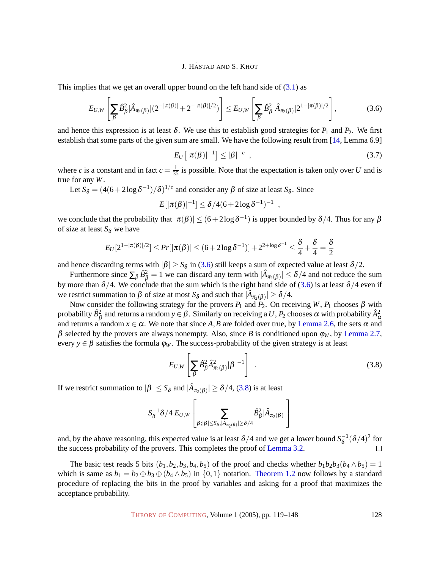This implies that we get an overall upper bound on the left hand side of  $(3.1)$  as

<span id="page-9-0"></span>
$$
E_{U,W}\left[\sum_{\beta}\hat{B}_{\beta}^{2}|\hat{A}_{\pi_{2}(\beta)}|(2^{-|\pi(\beta)|}+2^{-|\pi(\beta)|/2})\right] \leq E_{U,W}\left[\sum_{\beta}\hat{B}_{\beta}^{2}|\hat{A}_{\pi_{2}(\beta)}|2^{1-|\pi(\beta)|/2}\right],
$$
(3.6)

and hence this expression is at least  $\delta$ . We use this to establish good strategies for  $P_1$  and  $P_2$ . We first establish that some parts of the given sum are small. We have the following result from [\[14,](#page-28-2) Lemma 6.9]

<span id="page-9-2"></span>
$$
E_U\left[|\pi(\beta)|^{-1}\right] \le |\beta|^{-c} \quad , \tag{3.7}
$$

where *c* is a constant and in fact  $c = \frac{1}{35}$  is possible. Note that the expectation is taken only over *U* and is true for any *W*.

Let  $S_\delta = (4(6+2\log\delta^{-1})/\delta)^{1/c}$  and consider any  $\beta$  of size at least  $S_\delta$ . Since

$$
E[|\pi(\beta)|^{-1}] \leq \delta/4(6+2\log\delta^{-1})^{-1} ,
$$

we conclude that the probability that  $|\pi(\beta)| \le (6+2\log\delta^{-1})$  is upper bounded by  $\delta/4$ . Thus for any  $\beta$ of size at least  $S_{\delta}$  we have

$$
E_U[2^{1-|\pi(\beta)|/2}]\leq Pr[|\pi(\beta)|\leq (6+2\log\delta^{-1})]+2^{2+\log\delta^{-1}}\leq \frac{\delta}{4}+\frac{\delta}{4}=\frac{\delta}{2}
$$

and hence discarding terms with  $|\beta| \ge S_\delta$  in [\(3.6\)](#page-9-0) still keeps a sum of expected value at least  $\delta/2$ .

Furthermore since  $\sum_{\beta} \hat{B}_{\beta}^2 = 1$  we can discard any term with  $|\hat{A}_{\pi_2(\beta)}| \le \delta/4$  and not reduce the sum by more than  $\delta/4$ . We conclude that the sum which is the right hand side of [\(3.6\)](#page-9-0) is at least  $\delta/4$  even if we restrict summation to  $\beta$  of size at most  $S_\delta$  and such that  $|\hat{A}_{\pi_2(\beta)}| \ge \delta/4$ .

Now consider the following strategy for the provers  $P_1$  and  $P_2$ . On receiving *W*,  $P_1$  chooses  $\beta$  with probability  $\hat{B}^2_\beta$  and returns a random  $y\in\beta$ . Similarly on receiving a  $U,P_2$  chooses  $\alpha$  with probability  $\hat{A}^2_\alpha$ and returns a random  $x \in \alpha$ . We note that since A, B are folded over true, by [Lemma 2.6,](#page-6-1) the sets  $\alpha$  and β selected by the provers are always nonempty. Also, since *B* is conditioned upon  $φ<sub>W</sub>$ , by [Lemma 2.7,](#page-6-2) every  $y \in \beta$  satisfies the formula  $\varphi_W$ . The success-probability of the given strategy is at least

<span id="page-9-1"></span>
$$
E_{U,W}\left[\sum_{\beta}\hat{B}_{\beta}^{2}\hat{A}_{\pi_{2}(\beta)}^{2}|\beta|^{-1}\right]
$$
 (3.8)

If we restrict summation to  $|\beta| \leq S_\delta$  and  $|\hat{A}_{\pi_2(\beta)}| \geq \delta/4$ , [\(3.8\)](#page-9-1) is at least

$$
S_{\delta}^{-1}\delta/4\,E_{U,W}\left[\sum_{\beta:|\beta|\leq S_{\delta},|\hat{A}_{\pi_2(\beta)}|\geq \delta/4}\hat{B}_{\beta}^2|\hat{A}_{\pi_2(\beta)}|\right]
$$

and, by the above reasoning, this expected value is at least  $\delta/4$  and we get a lower bound  $S_8^{-1}$  $\delta^{-1}(\delta/4)^2$  for the success probability of the provers. This completes the proof of [Lemma 3.2.](#page-7-2)

The basic test reads 5 bits  $(b_1, b_2, b_3, b_4, b_5)$  of the proof and checks whether  $b_1b_2b_3(b_4 \wedge b_5) = 1$ which is same as  $b_1 = b_2 \oplus b_3 \oplus (b_4 \wedge b_5)$  in  $\{0,1\}$  notation. [Theorem 1.2](#page-2-0) now follows by a standard procedure of replacing the bits in the proof by variables and asking for a proof that maximizes the acceptance probability.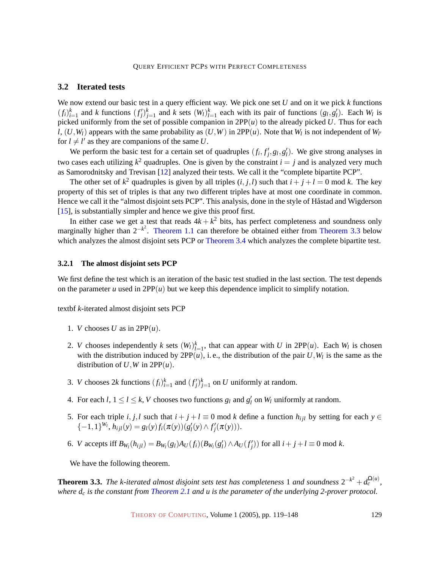#### <span id="page-10-0"></span>**3.2 Iterated tests**

We now extend our basic test in a query efficient way. We pick one set *U* and on it we pick *k* functions  $(f_i)_{i=1}^k$  and k functions  $(f'_j)_{j=1}^k$  and k sets  $(W_i)_{i=1}^k$  each with its pair of functions  $(g_i, g'_i)$ . Each  $W_i$  is picked uniformly from the set of possible companion in  $2PP(u)$  to the already picked *U*. Thus for each *l*,  $(U, W_l)$  appears with the same probability as  $(U, W)$  in 2PP $(u)$ . Note that  $W_l$  is not independent of  $W_{l'}$ for  $l \neq l'$  as they are companions of the same *U*.

We perform the basic test for a certain set of quadruples  $(f_i, f'_j, g_i, g'_i)$ . We give strong analyses in two cases each utilizing  $k^2$  quadruples. One is given by the constraint  $i = j$  and is analyzed very much as Samorodnitsky and Trevisan [\[12\]](#page-28-4) analyzed their tests. We call it the "complete bipartite PCP".

The other set of  $k^2$  quadruples is given by all triples  $(i, j, l)$  such that  $i + j + l = 0$  mod k. The key property of this set of triples is that any two different triples have at most one coordinate in common. Hence we call it the "almost disjoint sets PCP". This analysis, done in the style of Håstad and Wigderson [\[15\]](#page-28-5), is substantially simpler and hence we give this proof first.

In either case we get a test that reads  $4k + k^2$  bits, has perfect completeness and soundness only marginally higher than  $2^{-k^2}$ . [Theorem 1.1](#page-1-0) can therefore be obtained either from [Theorem 3.3](#page-10-1) below which analyzes the almost disjoint sets PCP or [Theorem 3.4](#page-13-0) which analyzes the complete bipartite test.

#### **3.2.1 The almost disjoint sets PCP**

We first define the test which is an iteration of the basic test studied in the last section. The test depends on the parameter *u* used in  $2PP(u)$  but we keep this dependence implicit to simplify notation.

textbf *k*-iterated almost disjoint sets PCP

- 1. *V* chooses *U* as in  $2PP(u)$ .
- 2. *V* chooses independently *k* sets  $(W_l)_{l=1}^k$ , that can appear with *U* in 2PP $(u)$ . Each  $W_l$  is chosen with the distribution induced by  $2PP(u)$ , i.e., the distribution of the pair  $U, W_l$  is the same as the distribution of  $U$ ,  $W$  in  $2PP(u)$ .
- 3. *V* chooses 2*k* functions  $(f_i)_{i=1}^k$  and  $(f'_j)_{j=1}^k$  on *U* uniformly at random.
- 4. For each  $l, 1 \le l \le k$ , *V* chooses two functions  $g_l$  and  $g'_l$  on  $W_l$  uniformly at random.
- 5. For each triple *i*, *j*,*l* such that  $i + j + l \equiv 0 \mod k$  define a function  $h_{ijl}$  by setting for each  $y \in$  $\{-1,1\}^{W_l}, h_{ijl}(y) = g_l(y) f_i(\pi(y)) (g'_l(y) \wedge f'_j(\pi(y))).$
- 6. V accepts iff  $B_{W_l}(h_{ijl}) = B_{W_l}(g_l)A_U(f_i)(B_{W_l}(g_l') \wedge A_U(f_j'))$  for all  $i + j + l \equiv 0 \mod k$ .

We have the following theorem.

<span id="page-10-1"></span>**Theorem 3.3.** The k-iterated almost disjoint sets test has completeness 1 and soundness  $2^{-k^2} + d_c^{\Omega(u)}$ , *where d<sup>c</sup> is the constant from [Theorem 2.1](#page-4-0) and u is the parameter of the underlying 2-prover protocol.*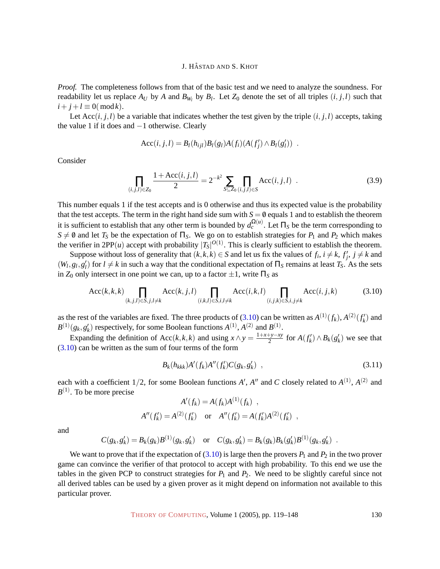*Proof.* The completeness follows from that of the basic test and we need to analyze the soundness. For readability let us replace  $A_U$  by  $A$  and  $B_{W_l}$  by  $B_l$ . Let  $Z_0$  denote the set of all triples  $(i, j, l)$  such that  $i + j + l \equiv 0 \pmod{k}$ .

Let  $Acc(i, j, l)$  be a variable that indicates whether the test given by the triple  $(i, j, l)$  accepts, taking the value 1 if it does and −1 otherwise. Clearly

$$
Acc(i, j, l) = B_l(h_{ijl})B_l(g_l)A(f_i)(A(f'_j) \wedge B_l(g'_l)) .
$$

Consider

$$
\prod_{(i,j,l)\in Z_0} \frac{1+\text{Acc}(i,j,l)}{2} = 2^{-k^2} \sum_{S \subseteq Z_0} \prod_{(i,j,l)\in S} \text{Acc}(i,j,l) \tag{3.9}
$$

This number equals 1 if the test accepts and is 0 otherwise and thus its expected value is the probability that the test accepts. The term in the right hand side sum with  $S = \emptyset$  equals 1 and to establish the theorem it is sufficient to establish that any other term is bounded by  $d_c^{\Omega(u)}$ . Let  $\Pi_S$  be the term corresponding to *S*  $\neq$  *θ* and let *T<sub>S</sub>* be the expectation of Π<sub>*S*</sub>. We go on to establish strategies for *P*<sub>1</sub> and *P*<sub>2</sub> which makes the verifier in 2PP(*u*) accept with probability  $|T_S|^{O(1)}$ . This is clearly sufficient to establish the theorem.

Suppose without loss of generality that  $(k, k, k) \in S$  and let us fix the values of  $f_i$ ,  $i \neq k$ ,  $f'_j$ ,  $j \neq k$  and  $(W_l, g_l, g'_l)$  for  $l \neq k$  in such a way that the conditional expectation of  $\Pi_S$  remains at least  $T_S$ . As the sets in  $Z_0$  only intersect in one point we can, up to a factor  $\pm 1$ , write  $\Pi_s$  as

<span id="page-11-0"></span>
$$
Acc(k,k,k) \prod_{(k,j,l)\in S,j,l\neq k} Acc(k,j,l) \prod_{(i,k,l)\in S,i,l\neq k} Acc(i,k,l) \prod_{(i,j,k)\in S,i,j\neq k} Acc(i,j,k)
$$
(3.10)

as the rest of the variables are fixed. The three products of [\(3.10\)](#page-11-0) can be written as  $A^{(1)}(f_k)$ ,  $A^{(2)}(f'_k)$  and  $B^{(1)}(g_k, g'_k)$  respectively, for some Boolean functions  $A^{(1)}$ ,  $A^{(2)}$  and  $B^{(1)}$ .

Expanding the definition of Acc(*k*,*k*,*k*) and using  $x \wedge y = \frac{1+x+y-xy}{2}$  $\frac{f(y-x)}{2}$  for  $A(f'_k) \wedge B_k(g'_k)$  we see that [\(3.10\)](#page-11-0) can be written as the sum of four terms of the form

<span id="page-11-1"></span>
$$
B_k(h_{kkk})A'(f_k)A''(f'_k)C(g_k,g'_k) , \qquad (3.11)
$$

each with a coefficient  $1/2$ , for some Boolean functions A', A'' and C closely related to  $A^{(1)}$ ,  $A^{(2)}$  and  $B^{(1)}$ . To be more precise

$$
A'(f_k) = A(f_k)A^{(1)}(f_k) ,
$$
  
\n
$$
A''(f'_k) = A^{(2)}(f'_k) \text{ or } A''(f'_k) = A(f'_k)A^{(2)}(f'_k) ,
$$

and

$$
C(g_k, g'_k) = B_k(g_k)B^{(1)}(g_k, g'_k) \text{ or } C(g_k, g'_k) = B_k(g_k)B_k(g'_k)B^{(1)}(g_k, g'_k) .
$$

We want to prove that if the expectation of  $(3.10)$  is large then the provers  $P_1$  and  $P_2$  in the two prover game can convince the verifier of that protocol to accept with high probability. To this end we use the tables in the given PCP to construct strategies for  $P_1$  and  $P_2$ . We need to be slightly careful since not all derived tables can be used by a given prover as it might depend on information not available to this particular prover.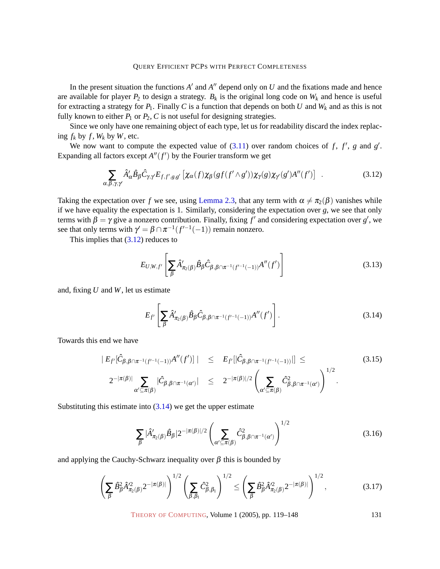In the present situation the functions  $A'$  and  $A''$  depend only on  $U$  and the fixations made and hence are available for player  $P_2$  to design a strategy.  $B_k$  is the original long code on  $W_k$  and hence is useful for extracting a strategy for  $P_1$ . Finally C is a function that depends on both U and  $W_k$  and as this is not fully known to either  $P_1$  or  $P_2$ ,  $C$  is not useful for designing strategies.

Since we only have one remaining object of each type, let us for readability discard the index replacing  $f_k$  by  $f$ ,  $W_k$  by  $W$ , etc.

We now want to compute the expected value of  $(3.11)$  over random choices of *f*, *f'*, *g* and *g'*. Expanding all factors except  $A''(f')$  by the Fourier transform we get

<span id="page-12-0"></span>
$$
\sum_{\alpha,\beta,\gamma,\gamma'} \hat{A}'_{\alpha} \hat{B}_{\beta} \hat{C}_{\gamma,\gamma'} E_{f,f',g,g'} \left[ \chi_{\alpha}(f) \chi_{\beta}(gf(f' \wedge g')) \chi_{\gamma}(g) \chi_{\gamma}(g') A''(f') \right] \ . \tag{3.12}
$$

Taking the expectation over *f* we see, using [Lemma 2.3,](#page-5-1) that any term with  $\alpha \neq \pi_2(\beta)$  vanishes while if we have equality the expectation is 1. Similarly, considering the expectation over  $g$ , we see that only terms with  $\beta = \gamma$  give a nonzero contribution. Finally, fixing  $f'$  and considering expectation over  $g'$ , we see that only terms with  $\gamma' = \beta \cap \pi^{-1}(f'^{-1}(-1))$  remain nonzero.

This implies that  $(3.12)$  reduces to

$$
E_{U,W,f'}\left[\sum_{\beta}\hat{A}'_{\pi_2(\beta)}\hat{B}_{\beta}\hat{C}_{\beta,\beta\cap\pi^{-1}(f'^{-1}(-1))}A''(f')\right]
$$
(3.13)

and, fixing *U* and *W*, let us estimate

<span id="page-12-1"></span>
$$
E_{f'}\left[\sum_{\beta}\hat{A}'_{\pi_2(\beta)}\hat{B}_{\beta}\hat{C}_{\beta,\beta\cap\pi^{-1}(f'^{-1}(-1))}A''(f')\right].
$$
\n(3.14)

Towards this end we have

$$
|E_{f'}[\hat{C}_{\beta,\beta \cap \pi^{-1}(f'^{-1}(-1))}A''(f')]| \leq E_{f'}[|\hat{C}_{\beta,\beta \cap \pi^{-1}(f'^{-1}(-1))}||] \leq (3.15)
$$
  

$$
2^{-|\pi(\beta)|} \sum_{\alpha' \subseteq \pi(\beta)} |\hat{C}_{\beta,\beta \cap \pi^{-1}(\alpha')}| \leq 2^{-|\pi(\beta)|/2} \left(\sum_{\alpha' \subseteq \pi(\beta)} \hat{C}_{\beta,\beta \cap \pi^{-1}(\alpha')}^2\right)^{1/2}.
$$

Substituting this estimate into  $(3.14)$  we get the upper estimate

$$
\sum_{\beta} |\hat{A}'_{\pi_2(\beta)} \hat{B}_{\beta}| 2^{-|\pi(\beta)|/2} \left( \sum_{\alpha' \subseteq \pi(\beta)} \hat{C}_{\beta, \beta \cap \pi^{-1}(\alpha')}^2 \right)^{1/2}
$$
(3.16)

and applying the Cauchy-Schwarz inequality over  $\beta$  this is bounded by

$$
\left(\sum_{\beta} \hat{B}_{\beta}^{2} \hat{A}_{\pi_{2}(\beta)}^{2} 2^{-|\pi(\beta)|}\right)^{1/2} \left(\sum_{\beta,\beta_{1}} \hat{C}_{\beta,\beta_{1}}^{2}\right)^{1/2} \leq \left(\sum_{\beta} \hat{B}_{\beta}^{2} \hat{A}_{\pi_{2}(\beta)}^{2} 2^{-|\pi(\beta)|}\right)^{1/2}, \tag{3.17}
$$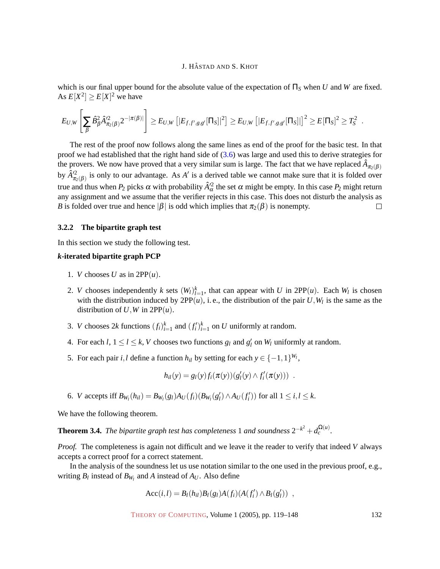which is our final upper bound for the absolute value of the expectation of  $\Pi_S$  when *U* and *W* are fixed. As  $E[X^2] \ge E[X]^2$  we have

$$
E_{U,W}\left[\sum_{\beta}\hat{B}_{\beta}^2\hat{A}'^2_{\pi_2(\beta)}2^{-|\pi(\beta)|}\right]\geq E_{U,W}\left[|E_{f,f',g,g'}[\Pi_S]|^2\right]\geq E_{U,W}\left[|E_{f,f',g,g'}[\Pi_S]|\right]^2\geq E[\Pi_S]^2\geq T_S^2\enspace.
$$

The rest of the proof now follows along the same lines as end of the proof for the basic test. In that proof we had established that the right hand side of [\(3.6\)](#page-9-0) was large and used this to derive strategies for the provers. We now have proved that a very similar sum is large. The fact that we have replaced  $\hat{A}_{\pi_2(\beta)}$ by  $\hat{A}^2_{\pi_2(\beta)}$  is only to our advantage. As *A'* is a derived table we cannot make sure that it is folded over true and thus when  $P_2$  picks  $\alpha$  with probability  $\hat{A}'^2_\alpha$  the set  $\alpha$  might be empty. In this case  $P_2$  might return any assignment and we assume that the verifier rejects in this case. This does not disturb the analysis as *B* is folded over true and hence  $|\beta|$  is odd which implies that  $\pi_2(\beta)$  is nonempty.  $\Box$ 

#### **3.2.2 The bipartite graph test**

In this section we study the following test.

#### *k***-iterated bipartite graph PCP**

- 1. *V* chooses *U* as in  $2PP(u)$ .
- 2. *V* chooses independently *k* sets  $(W_l)_{l=1}^k$ , that can appear with *U* in 2PP $(u)$ . Each  $W_l$  is chosen with the distribution induced by  $2PP(u)$ , i.e., the distribution of the pair  $U, W_l$  is the same as the distribution of  $U$ ,  $W$  in  $2PP(u)$ .
- 3. *V* chooses 2*k* functions  $(f_i)_{i=1}^k$  and  $(f_i')_{i=1}^k$  on *U* uniformly at random.
- 4. For each  $l, 1 \le l \le k$ , *V* chooses two functions  $g_l$  and  $g'_l$  on  $W_l$  uniformly at random.
- 5. For each pair *i*,*l* define a function  $h_{il}$  by setting for each  $y \in \{-1,1\}^{W_l}$ ,

$$
h_{il}(y) = g_l(y) f_i(\pi(y)) (g'_l(y) \wedge f'_i(\pi(y))) .
$$

6. *V* accepts iff  $B_{W_l}(h_{il}) = B_{W_l}(g_l)A_U(f_i)(B_{W_l}(g_l') \wedge A_U(f_i'))$  for all  $1 \le i, l \le k$ .

<span id="page-13-0"></span>We have the following theorem.

**Theorem 3.4.** *The bipartite graph test has completeness* 1 *and soundness*  $2^{-k^2} + d_c^{\Omega(u)}$ *.* 

*Proof.* The completeness is again not difficult and we leave it the reader to verify that indeed *V* always accepts a correct proof for a correct statement.

In the analysis of the soundness let us use notation similar to the one used in the previous proof, e.g., writing  $B_l$  instead of  $B_{W_l}$  and  $A$  instead of  $A_U$ . Also define

$$
Acc(i, l) = B_l(h_{il})B_l(g_l)A(f_i)(A(f'_i) \wedge B_l(g'_l)) ,
$$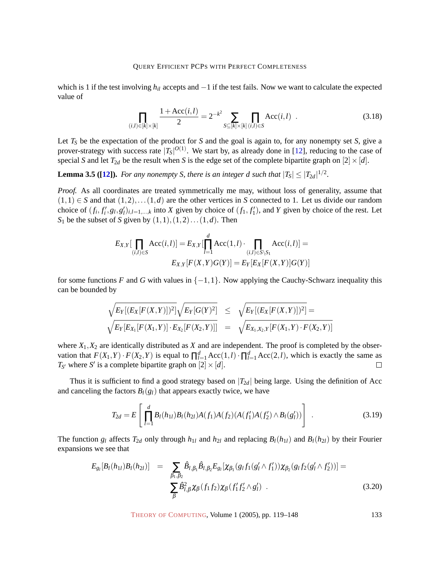which is 1 if the test involving *h<sub>il</sub>* accepts and −1 if the test fails. Now we want to calculate the expected value of

<span id="page-14-1"></span>
$$
\prod_{(i,l)\in[k]\times[k]} \frac{1+\text{Acc}(i,l)}{2} = 2^{-k^2} \sum_{S\subseteq[k]\times[k]} \prod_{(i,l)\in S} \text{Acc}(i,l) \tag{3.18}
$$

Let  $T<sub>S</sub>$  be the expectation of the product for *S* and the goal is again to, for any nonempty set *S*, give a prover-strategy with success rate  $|T_S|^{O(1)}$ . We start by, as already done in [\[12\]](#page-28-4), reducing to the case of special *S* and let  $T_{2d}$  be the result when *S* is the edge set of the complete bipartite graph on  $[2] \times [d]$ .

<span id="page-14-2"></span>**Lemma 3.5 ([\[12\]](#page-28-4)).** For any nonempty S, there is an integer d such that  $|T_S| \leq |T_{2d}|^{1/2}$ .

*Proof.* As all coordinates are treated symmetrically me may, without loss of generality, assume that  $(1,1) \in S$  and that  $(1,2), \ldots (1,d)$  are the other vertices in *S* connected to 1. Let us divide our random choice of  $(f_i, f'_i, g_i, g'_i)_{i,l=1,\dots,k}$  into X given by choice of  $(f_1, f'_1)$ , and Y given by choice of the rest. Let  $S_1$  be the subset of *S* given by  $(1,1),(1,2)...(1,d)$ . Then

$$
E_{X,Y}[\prod_{(i,l)\in S} Acc(i,l)] = E_{X,Y}[\prod_{l=1}^{d} Acc(1,l) \cdot \prod_{(i,l)\in S\setminus S_1} Acc(i,l)] = E_{X,Y}[F(X,Y)G(Y)] = E_{Y}[E_{X}[F(X,Y)]G(Y)]
$$

for some functions *F* and *G* with values in  $\{-1,1\}$ . Now applying the Cauchy-Schwarz inequality this can be bounded by

$$
\frac{\sqrt{E_Y[(E_X[F(X,Y)])^2]}\sqrt{E_Y[G(Y)^2]}}{\sqrt{E_Y[E_X[F(X,Y)]\cdot E_{X_2}[F(X_2,Y)]]}} = \frac{\sqrt{E_Y[(E_X[F(X,Y)])^2]}}{\sqrt{E_{X_1,X_2,Y}[F(X_1,Y)\cdot F(X_2,Y)]}}
$$

where  $X_1, X_2$  are identically distributed as  $X$  and are independent. The proof is completed by the observation that  $F(X_1, Y) \cdot F(X_2, Y)$  is equal to  $\prod_{l=1}^{d} Acc(1, l) \cdot \prod_{l=1}^{d} Acc(2, l)$ , which is exactly the same as  $T_{S'}$  where *S'* is a complete bipartite graph on  $[2] \times [d]$ .

Thus it is sufficient to find a good strategy based on  $|T_{2d}|$  being large. Using the definition of Acc and canceling the factors  $B_l(g_l)$  that appears exactly twice, we have

<span id="page-14-0"></span>
$$
T_{2d} = E\left[\prod_{l=1}^{d} B_l(h_{1l})B_l(h_{2l})A(f_1)A(f_2)(A(f_1')A(f_2') \wedge B_l(g_l'))\right] \tag{3.19}
$$

The function  $g_l$  affects  $T_{2d}$  only through  $h_{1l}$  and  $h_{2l}$  and replacing  $B_l(h_{1l})$  and  $B_l(h_{2l})$  by their Fourier expansions we see that

$$
E_{g_l}[B_l(h_{1l})B_l(h_{2l})] = \sum_{\beta_1,\beta_2} \hat{B}_{l,\beta_1} \hat{B}_{l,\beta_2} E_{g_l}[\chi_{\beta_1}(g_l f_1(g_l'\wedge f_1'))\chi_{\beta_2}(g_l f_2(g_l'\wedge f_2'))] = \sum_{\beta} \hat{B}_{l,\beta}^2 \chi_{\beta}(f_1 f_2)\chi_{\beta}(f_1' f_2'\wedge g_l')
$$
\n(3.20)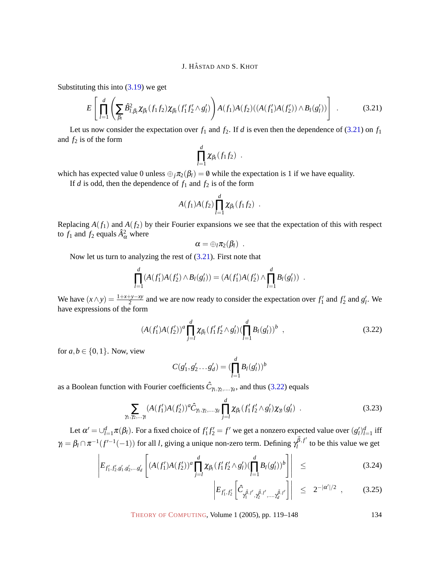Substituting this into  $(3.19)$  we get

<span id="page-15-0"></span>
$$
E\left[\prod_{l=1}^{d}\left(\sum_{\beta_{l}}\hat{B}_{l,\beta_{l}}^{2}\chi_{\beta_{l}}(f_{1}f_{2})\chi_{\beta_{l}}(f_{1}f_{2}' \wedge g_{l}')\right)A(f_{1})A(f_{2})((A(f_{1}')A(f_{2}')) \wedge B_{l}(g_{l}'))\right] \tag{3.21}
$$

Let us now consider the expectation over  $f_1$  and  $f_2$ . If *d* is even then the dependence of [\(3.21\)](#page-15-0) on  $f_1$ and  $f_2$  is of the form

$$
\prod_{l=1}^d \chi_{\beta_l}(f_1f_2) .
$$

which has expected value 0 unless  $\bigoplus_i \pi_2(\beta_i) = 0$  while the expectation is 1 if we have equality.

If *d* is odd, then the dependence of  $f_1$  and  $f_2$  is of the form

$$
A(f_1)A(f_2)\prod_{l=1}^d \chi_{\beta_l}(f_1f_2) .
$$

Replacing  $A(f_1)$  and  $A(f_2)$  by their Fourier expansions we see that the expectation of this with respect to  $f_1$  and  $f_2$  equals  $\hat{A}^2_{\alpha}$  where

$$
\alpha=\oplus_l \pi_2(\beta_l) \enspace .
$$

Now let us turn to analyzing the rest of [\(3.21\)](#page-15-0). First note that

$$
\prod_{l=1}^d (A(f'_1)A(f'_2) \wedge B_l(g'_l)) = (A(f'_1)A(f'_2) \wedge \prod_{l=1}^d B_l(g'_l)) .
$$

We have  $(x \wedge y) = \frac{1+x+y-xy}{2}$  and we are now ready to consider the expectation over  $f'_1$  and  $f'_2$  and  $g'_i$ . We have expressions of the form

<span id="page-15-1"></span>
$$
(A(f'_1)A(f'_2))^a \prod_{j=l}^d \chi_{\beta_l}(f'_1 f'_2 \wedge g'_l) (\prod_{l=1}^d B_l(g'_l))^b , \qquad (3.22)
$$

for  $a, b \in \{0, 1\}$ . Now, view

 $\gamma$ <sup>1</sup>

$$
C(g'_1, g'_2 \dots g'_d) = (\prod_{l=1}^d B_l(g'_l))^b
$$

as a Boolean function with Fourier coefficients  $\hat{C}_{\gamma_1,\gamma_2,...,\gamma_d}$ , and thus [\(3.22\)](#page-15-1) equals

$$
\sum_{\gamma_1,\ldots,\gamma_k} (A(f'_1)A(f'_2))^a \hat{C}_{\gamma_1,\gamma_2,\ldots,\gamma_d} \prod_{j=l}^d \chi_{\beta_l}(f'_1f'_2 \wedge g'_l) \chi_{\gamma_l}(g'_l) \tag{3.23}
$$

Let  $\alpha' = \bigcup_{l=1}^d \pi(\beta_l)$ . For a fixed choice of  $f'_1 f'_2 = f'$  we get a nonzero expected value over  $(g'_l)_{l=1}^d$  iff  $\gamma_l = \beta_l \cap \pi^{-1}(f'^{-1}(-1))$  for all *l*, giving a unique non-zero term. Defining  $\gamma_l^{\vec{\beta},f'}$  $l_l^{p,J}$  to be this value we get

$$
\left| E_{f'_1, f'_2, g'_1, g'_2, \dots, g'_d} \left[ (A(f'_1) A(f'_2))^a \prod_{j=l}^d \chi_{\beta_l}(f'_1 f'_2 \wedge g'_l) (\prod_{l=1}^d B_l(g'_l))^b \right] \right| \leq (3.24)
$$

$$
\left| E_{f'_1, f'_2} \left[ \hat{C}_{\gamma_1^{\vec{\beta}, f'}, \gamma_2^{\vec{\beta}, f'}, \dots, \gamma_d^{\vec{\beta}, f'}} \right] \right| \leq 2^{-|\alpha'|/2}, \quad (3.25)
$$

THEORY OF C[OMPUTING](http://dx.doi.org/10.4086/toc), Volume 1 (2005), pp. 119–148 134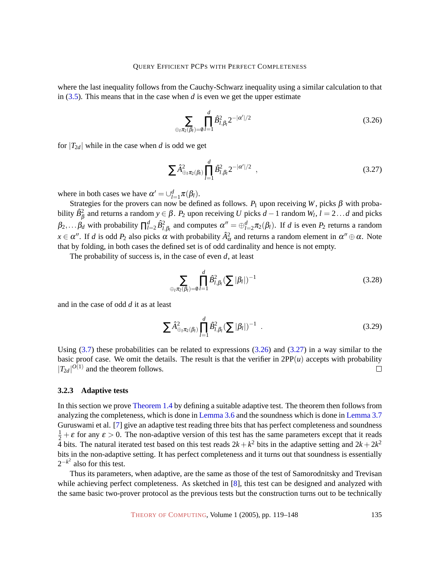where the last inequality follows from the Cauchy-Schwarz inequality using a similar calculation to that in [\(3.5\)](#page-8-4). This means that in the case when *d* is even we get the upper estimate

<span id="page-16-0"></span>
$$
\sum_{\oplus_l \pi_2(\beta_l)=0} \prod_{l=1}^d \hat{B}_{l,\beta_l}^2 2^{-|\alpha'|/2} \tag{3.26}
$$

for  $|T_{2d}|$  while in the case when *d* is odd we get

<span id="page-16-1"></span>
$$
\sum \hat{A}_{\oplus_l \pi_2(\beta_l)}^2 \prod_{l=1}^d \hat{B}_{l,\beta_l}^2 2^{-|\alpha'|/2} \ , \qquad (3.27)
$$

where in both cases we have  $\alpha' = \bigcup_{l=1}^{d} \pi(\beta_l)$ .

Strategies for the provers can now be defined as follows.  $P_1$  upon receiving *W*, picks  $\beta$  with probability  $\hat{B}_{\beta}^2$  and returns a random  $y \in \beta$ .  $P_2$  upon receiving *U* picks  $d-1$  random  $W_l$ ,  $l = 2...d$  and picks  $\beta_2,\ldots,\beta_d$  with probability  $\prod_{l=2}^d \hat{B}_{l,\beta_l}^2$  and computes  $\alpha'' = \bigoplus_{l=2}^d \pi_2(\beta_l)$ . If *d* is even  $P_2$  returns a random  $x \in \alpha''$ . If *d* is odd  $P_2$  also picks  $\alpha$  with probability  $\hat{A}^2_{\alpha}$  and returns a random element in  $\alpha'' \oplus \alpha$ . Note that by folding, in both cases the defined set is of odd cardinality and hence is not empty.

The probability of success is, in the case of even *d*, at least

$$
\sum_{\oplus_l \pi_2(\beta_l)=0} \prod_{l=1}^d \hat{B}_{l,\beta_l}^2 (\sum |\beta_l|)^{-1} \tag{3.28}
$$

and in the case of odd *d* it as at least

$$
\sum \hat{A}_{\oplus_l \pi_2(\beta_l)}^2 \prod_{l=1}^d \hat{B}_{l,\beta_l}^2 (\sum |\beta_l|)^{-1} \quad . \tag{3.29}
$$

Using  $(3.7)$  these probabilities can be related to expressions  $(3.26)$  and  $(3.27)$  in a way similar to the basic proof case. We omit the details. The result is that the verifier in  $2PP(u)$  accepts with probability  $|T_{2d}|^{O(1)}$  and the theorem follows.  $\Box$ 

#### <span id="page-16-2"></span>**3.2.3 Adaptive tests**

In this section we prove [Theorem 1.4](#page-2-2) by defining a suitable adaptive test. The theorem then follows from analyzing the completeness, which is done in [Lemma 3.6](#page-17-0) and the soundness which is done in [Lemma 3.7](#page-18-0) Guruswami et al. [\[7\]](#page-27-6) give an adaptive test reading three bits that has perfect completeness and soundness  $\frac{1}{2} + \varepsilon$  for any  $\varepsilon > 0$ . The non-adaptive version of this test has the same parameters except that it reads 4 bits. The natural iterated test based on this test reads  $2k + k^2$  bits in the adaptive setting and  $2k + 2k^2$ bits in the non-adaptive setting. It has perfect completeness and it turns out that soundness is essentially  $2^{-k^2}$  also for this test.

Thus its parameters, when adaptive, are the same as those of the test of Samorodnitsky and Trevisan while achieving perfect completeness. As sketched in [\[8\]](#page-28-8), this test can be designed and analyzed with the same basic two-prover protocol as the previous tests but the construction turns out to be technically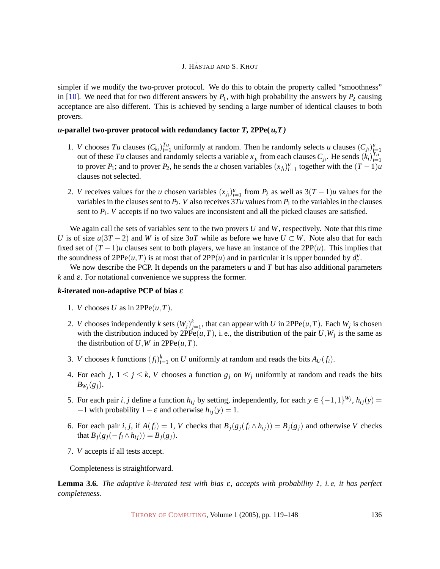simpler if we modify the two-prover protocol. We do this to obtain the property called "smoothness" in [\[10\]](#page-28-10). We need that for two different answers by  $P_1$ , with high probability the answers by  $P_2$  causing acceptance are also different. This is achieved by sending a large number of identical clauses to both provers.

#### *u***-parallel two-prover protocol with redundancy factor**  $T$ **, 2PPe(** $u$ **,**  $T$ **)**

- 1. *V* chooses *Tu* clauses  $(C_{k_i})_{i=1}^{T_u}$  uniformly at random. Then he randomly selects *u* clauses  $(C_{j_i})_{i=1}^u$ out of these *Tu* clauses and randomly selects a variable  $x_{j_i}$  from each clauses  $C_{j_i}$ . He sends  $(k_i)_{i=1}^{T_u}$ to prover  $P_1$ ; and to prover  $P_2$ , he sends the *u* chosen variables  $(x_{j_i})_{i=1}^u$  together with the  $(T-1)u$ clauses not selected.
- 2. *V* receives values for the *u* chosen variables  $(x_j)_{i=1}^u$  from  $P_2$  as well as  $3(T-1)u$  values for the variables in the clauses sent to  $P_2$ . *V* also receives  $3Tu$  values from  $P_1$  to the variables in the clauses sent to  $P_1$ . *V* accepts if no two values are inconsistent and all the picked clauses are satisfied.

We again call the sets of variables sent to the two provers *U* and *W*, respectively. Note that this time *U* is of size  $u(3T - 2)$  and *W* is of size 3*uT* while as before we have  $U \subset W$ . Note also that for each fixed set of  $(T - 1)u$  clauses sent to both players, we have an instance of the  $2PP(u)$ . This implies that the soundness of  $2PPe(u,T)$  is at most that of  $2PP(u)$  and in particular it is upper bounded by  $d_c^u$ .

We now describe the PCP. It depends on the parameters *u* and *T* but has also additional parameters  $k$  and  $\varepsilon$ . For notational convenience we suppress the former.

#### *k***-iterated non-adaptive PCP of bias** ε

- 1. *V* chooses *U* as in  $2PPe(u, T)$ .
- 2. *V* chooses independently *k* sets  $(W_j)_{j=1}^k$ , that can appear with *U* in 2PPe $(u, T)$ . Each  $W_j$  is chosen with the distribution induced by  $2PPe(u,T)$ , i.e., the distribution of the pair  $U, W_j$  is the same as the distribution of  $U$ ,  $W$  in  $2PPe(u, T)$ .
- 3. *V* chooses *k* functions  $(f_i)_{i=1}^k$  on *U* uniformly at random and reads the bits  $A_U(f_i)$ .
- 4. For each *j*,  $1 \le j \le k$ , *V* chooses a function  $g_j$  on  $W_j$  uniformly at random and reads the bits  $B_{W_j}(g_j)$ .
- 5. For each pair *i*, *j* define a function  $h_{ij}$  by setting, independently, for each  $y \in \{-1, 1\}^{W_j}$ ,  $h_{ij}(y) =$  $-1$  with probability  $1 - \varepsilon$  and otherwise  $h_{ij}(y) = 1$ .
- 6. For each pair i, j, if  $A(f_i) = 1$ , V checks that  $B_i(g_i(f_i \wedge h_{ij})) = B_i(g_i)$  and otherwise V checks that  $B_i(g_i(-f_i \wedge h_{ij})) = B_i(g_i).$
- 7. *V* accepts if all tests accept.

Completeness is straightforward.

<span id="page-17-0"></span>**Lemma 3.6.** *The adaptive k-iterated test with bias* ε*, accepts with probability 1, i. e, it has perfect completeness.*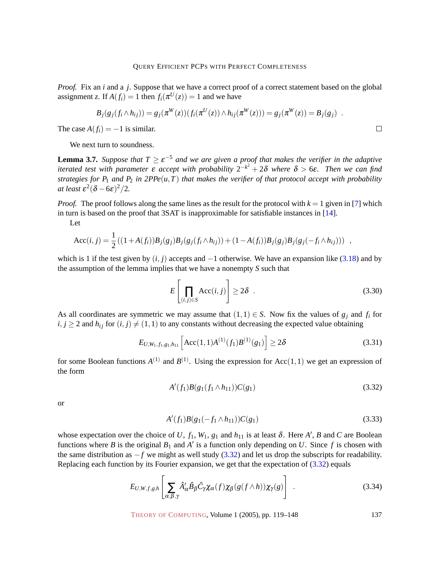*Proof.* Fix an *i* and a *j*. Suppose that we have a correct proof of a correct statement based on the global assignment *z*. If  $A(f_i) = 1$  then  $f_i(\pi^U(z)) = 1$  and we have

$$
B_j(g_j(f_i \wedge h_{ij})) = g_j(\pi^W(z))(f_i(\pi^U(z)) \wedge h_{ij}(\pi^W(z))) = g_j(\pi^W(z)) = B_j(g_j) .
$$

The case  $A(f_i) = -1$  is similar.

We next turn to soundness.

<span id="page-18-0"></span>**Lemma 3.7.** *Suppose that*  $T \ge \varepsilon^{-5}$  *and we are given a proof that makes the verifier in the adaptive iterated test with parameter* ε *accept with probability* 2 −*k* 2 + 2δ *where* δ > 6ε*. Then we can find strategies for P*<sub>1</sub> *and P*<sub>2</sub> *in 2PPe*( $u$ ,*T*) *that makes the verifier of that protocol accept with probability at least*  $\varepsilon^2(\delta - 6\varepsilon)^2/2$ *.* 

*Proof.* The proof follows along the same lines as the result for the protocol with  $k = 1$  given in [\[7\]](#page-27-6) which in turn is based on the proof that 3SAT is inapproximable for satisfiable instances in [\[14\]](#page-28-2).

Let

$$
Acc(i, j) = \frac{1}{2} ((1 + A(f_i))B_j(g_j)B_j(g_j(f_i \wedge h_{ij})) + (1 - A(f_i))B_j(g_j)B_j(g_j(-f_i \wedge h_{ij}))) ,
$$

which is 1 if the test given by  $(i, j)$  accepts and  $-1$  otherwise. We have an expansion like [\(3.18\)](#page-14-1) and by the assumption of the lemma implies that we have a nonempty *S* such that

$$
E\left[\prod_{(i,j)\in S}\text{Acc}(i,j)\right] \ge 2\delta \quad . \tag{3.30}
$$

As all coordinates are symmetric we may assume that  $(1,1) \in S$ . Now fix the values of  $g_j$  and  $f_i$  for  $i, j \geq 2$  and  $h_{ij}$  for  $(i, j) \neq (1, 1)$  to any constants without decreasing the expected value obtaining

$$
E_{U,W_1,f_1,g_1,h_{11}}\left[\text{Acc}(1,1)A^{(1)}(f_1)B^{(1)}(g_1)\right] \ge 2\delta \tag{3.31}
$$

for some Boolean functions  $A^{(1)}$  and  $B^{(1)}$ . Using the expression for Acc(1,1) we get an expression of the form

<span id="page-18-1"></span>
$$
A'(f_1)B(g_1(f_1 \wedge h_{11}))C(g_1) \tag{3.32}
$$

or

$$
A'(f_1)B(g_1(-f_1 \wedge h_{11}))C(g_1) \tag{3.33}
$$

whose expectation over the choice of U,  $f_1$ ,  $W_1$ ,  $g_1$  and  $h_{11}$  is at least  $\delta$ . Here  $A'$ ,  $B$  and  $C$  are Boolean functions where *B* is the original  $B_1$  and  $A'$  is a function only depending on *U*. Since *f* is chosen with the same distribution as −*f* we might as well study [\(3.32\)](#page-18-1) and let us drop the subscripts for readability. Replacing each function by its Fourier expansion, we get that the expectation of [\(3.32\)](#page-18-1) equals

<span id="page-18-2"></span>
$$
E_{U,W,f,g,h}\left[\sum_{\alpha,\beta,\gamma}\hat{A}'_{\alpha}\hat{B}_{\beta}\hat{C}_{\gamma}\chi_{\alpha}(f)\chi_{\beta}(g(f\wedge h))\chi_{\gamma}(g)\right].
$$
\n(3.34)

THEORY OF C[OMPUTING](http://dx.doi.org/10.4086/toc), Volume 1 (2005), pp. 119–148 137

 $\Box$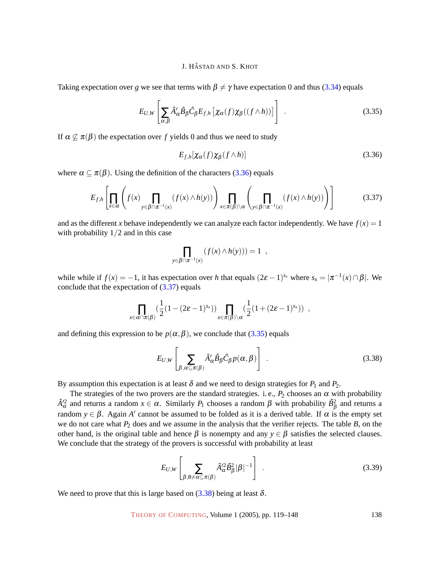Taking expectation over *g* we see that terms with  $\beta \neq \gamma$  have expectation 0 and thus [\(3.34\)](#page-18-2) equals

<span id="page-19-2"></span>
$$
E_{U,W}\left[\sum_{\alpha,\beta}\hat{A}'_{\alpha}\hat{B}_{\beta}\hat{C}_{\beta}E_{f,h}\left[\chi_{\alpha}(f)\chi_{\beta}((f\wedge h))\right]\right]
$$
 (3.35)

If  $\alpha \nsubseteq \pi(\beta)$  the expectation over f yields 0 and thus we need to study

<span id="page-19-0"></span>
$$
E_{f,h}[\chi_{\alpha}(f)\chi_{\beta}(f\wedge h)]\tag{3.36}
$$

where  $\alpha \subseteq \pi(\beta)$ . Using the definition of the characters [\(3.36\)](#page-19-0) equals

<span id="page-19-1"></span>
$$
E_{f,h}\left[\prod_{x\in\alpha}\left(f(x)\prod_{y\in\beta\cap\pi^{-1}(x)}(f(x)\wedge h(y))\right)\prod_{x\in\pi(\beta)\setminus\alpha}\left(\prod_{y\in\beta\cap\pi^{-1}(x)}(f(x)\wedge h(y))\right)\right]
$$
(3.37)

and as the different *x* behave independently we can analyze each factor independently. We have  $f(x) = 1$ with probability  $1/2$  and in this case

$$
\prod_{y \in \beta \cap \pi^{-1}(x)} (f(x) \wedge h(y))) = 1 ,
$$

while while if  $f(x) = -1$ , it has expectation over *h* that equals  $(2\varepsilon - 1)^{s_x}$  where  $s_x = |\pi^{-1}(x) \cap \beta|$ . We conclude that the expectation of [\(3.37\)](#page-19-1) equals

$$
\prod_{x\in\alpha\cap\pi(\beta)}(\frac{1}{2}(1-(2\boldsymbol{\varepsilon}-1)^{s_x}))\prod_{x\in\pi(\beta)\setminus\alpha}(\frac{1}{2}(1+(2\boldsymbol{\varepsilon}-1)^{s_x})) ,
$$

and defining this expression to be  $p(\alpha, \beta)$ , we conclude that [\(3.35\)](#page-19-2) equals

<span id="page-19-3"></span>
$$
E_{U,W}\left[\sum_{\beta,\alpha\subseteq\pi(\beta)}\hat{A}'_{\alpha}\hat{B}_{\beta}\hat{C}_{\beta}p(\alpha,\beta)\right]
$$
 (3.38)

By assumption this expectation is at least  $\delta$  and we need to design strategies for  $P_1$  and  $P_2$ .

The strategies of the two provers are the standard strategies. i.e.,  $P_2$  chooses an  $\alpha$  with probability  $A^2$ <sup>2</sup> and returns a random *x* ∈ α. Similarly *P*<sub>1</sub> chooses a random β with probability  $B^2$ <sub>β</sub> and returns a random  $y \in \beta$ . Again *A'* cannot be assumed to be folded as it is a derived table. If  $\alpha$  is the empty set we do not care what *P*<sup>2</sup> does and we assume in the analysis that the verifier rejects. The table *B*, on the other hand, is the original table and hence  $\beta$  is nonempty and any  $y \in \beta$  satisfies the selected clauses. We conclude that the strategy of the provers is successful with probability at least

<span id="page-19-4"></span>
$$
E_{U,W}\left[\sum_{\beta,\emptyset\neq\alpha\subseteq\pi(\beta)}\hat{A}_{\alpha}^{\prime2}\hat{B}_{\beta}^{2}|\beta|^{-1}\right]
$$
 (3.39)

We need to prove that this is large based on  $(3.38)$  being at least  $\delta$ .

THEORY OF C[OMPUTING](http://dx.doi.org/10.4086/toc), Volume 1 (2005), pp. 119–148 138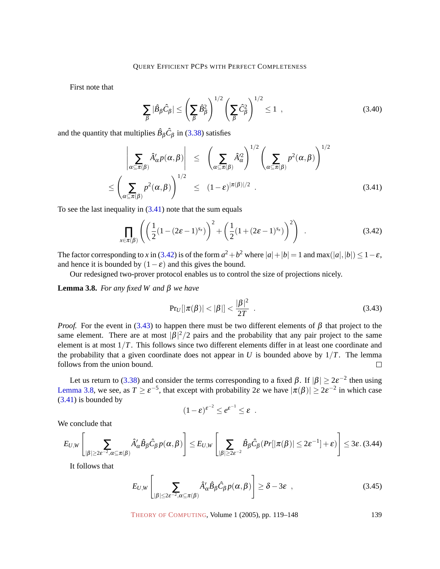First note that

$$
\sum_{\beta} |\hat{B}_{\beta}\hat{C}_{\beta}| \le \left(\sum_{\beta} \hat{B}_{\beta}^2\right)^{1/2} \left(\sum_{\beta} \hat{C}_{\beta}^2\right)^{1/2} \le 1 \quad , \tag{3.40}
$$

and the quantity that multiplies  $\hat{B}_{\beta}\hat{C}_{\beta}$  in [\(3.38\)](#page-19-3) satisfies

<span id="page-20-0"></span>
$$
\left| \sum_{\alpha \subseteq \pi(\beta)} \hat{A}'_{\alpha} p(\alpha, \beta) \right| \leq \left( \sum_{\alpha \subseteq \pi(\beta)} \hat{A}'_{\alpha}^2 \right)^{1/2} \left( \sum_{\alpha \subseteq \pi(\beta)} p^2(\alpha, \beta) \right)^{1/2}
$$
  

$$
\leq \left( \sum_{\alpha \subseteq \pi(\beta)} p^2(\alpha, \beta) \right)^{1/2} \leq (1 - \varepsilon)^{|\pi(\beta)|/2} . \tag{3.41}
$$

To see the last inequality in  $(3.41)$  note that the sum equals

<span id="page-20-1"></span>
$$
\prod_{x \in \pi(\beta)} \left( \left( \frac{1}{2} (1 - (2\varepsilon - 1)^{s_x}) \right)^2 + \left( \frac{1}{2} (1 + (2\varepsilon - 1)^{s_x}) \right)^2 \right) \tag{3.42}
$$

The factor corresponding to *x* in [\(3.42\)](#page-20-1) is of the form  $a^2 + b^2$  where  $|a| + |b| = 1$  and max $(|a|, |b|) \le 1 - \varepsilon$ , and hence it is bounded by  $(1 - \varepsilon)$  and this gives the bound.

Our redesigned two-prover protocol enables us to control the size of projections nicely.

<span id="page-20-3"></span>**Lemma 3.8.** *For any fixed W and* β *we have*

<span id="page-20-2"></span>
$$
Pr_U[|\pi(\beta)| < |\beta|] < \frac{|\beta|^2}{2T} \tag{3.43}
$$

*Proof.* For the event in [\(3.43\)](#page-20-2) to happen there must be two different elements of  $\beta$  that project to the same element. There are at most  $|\beta|^2/2$  pairs and the probability that any pair project to the same element is at most 1/*T*. This follows since two different elements differ in at least one coordinate and the probability that a given coordinate does not appear in *U* is bounded above by  $1/T$ . The lemma follows from the union bound.  $\Box$ 

Let us return to [\(3.38\)](#page-19-3) and consider the terms corresponding to a fixed  $\beta$ . If  $|\beta| \geq 2\varepsilon^{-2}$  then using [Lemma 3.8,](#page-20-3) we see, as  $T \ge \varepsilon^{-5}$ , that except with probability  $2\varepsilon$  we have  $|\pi(\beta)| \ge 2\varepsilon^{-2}$  in which case [\(3.41\)](#page-20-0) is bounded by

$$
(1-\varepsilon)^{\varepsilon^{-2}} \leq e^{\varepsilon^{-1}} \leq \varepsilon.
$$

We conclude that

$$
E_{U,W}\left[\sum_{|\beta|\geq 2\varepsilon^{-2},\alpha\subseteq\pi(\beta)}\hat{A}'_{\alpha}\hat{B}_{\beta}\hat{C}_{\beta}p(\alpha,\beta)\right]\leq E_{U,W}\left[\sum_{|\beta|\geq 2\varepsilon^{-2}}\hat{B}_{\beta}\hat{C}_{\beta}(Pr[|\pi(\beta)|\leq 2\varepsilon^{-1}]+\varepsilon)\right]\leq 3\varepsilon.\,(3.44)
$$

It follows that

$$
E_{U,W}\left[\sum_{|\beta|\leq 2\varepsilon^{-2},\alpha\subseteq\pi(\beta)}\hat{A}'_{\alpha}\hat{B}_{\beta}\hat{C}_{\beta}p(\alpha,\beta)\right]\geq \delta-3\varepsilon\quad ,\qquad (3.45)
$$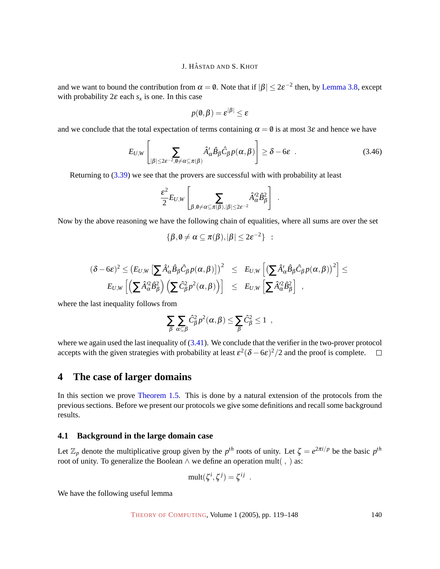and we want to bound the contribution from  $\alpha = \emptyset$ . Note that if  $|\beta| \leq 2\varepsilon^{-2}$  then, by [Lemma 3.8,](#page-20-3) except with probability  $2\varepsilon$  each  $s_x$  is one. In this case

$$
p(\mathbf{0},\beta)=\varepsilon^{|\beta|}\leq \varepsilon
$$

and we conclude that the total expectation of terms containing  $\alpha = 0$  is at most  $3\varepsilon$  and hence we have

$$
E_{U,W}\left[\sum_{|\beta|\leq 2\varepsilon^{-2}, 0\neq\alpha\subseteq\pi(\beta)} \hat{A}'_{\alpha}\hat{B}_{\beta}\hat{C}_{\beta}p(\alpha,\beta)\right] \geq \delta - 6\varepsilon \quad . \tag{3.46}
$$

Returning to [\(3.39\)](#page-19-4) we see that the provers are successful with with probability at least

$$
\frac{\varepsilon^2}{2} E_{U,W} \left[ \sum_{\beta, \emptyset \neq \alpha \subseteq \pi(\beta), |\beta| \leq 2\varepsilon^{-2}} \hat{A}_{\alpha}^{\prime 2} \hat{B}_{\beta}^2 \right] .
$$

Now by the above reasoning we have the following chain of equalities, where all sums are over the set

$$
\{\beta, \emptyset \neq \alpha \subseteq \pi(\beta), |\beta| \leq 2\epsilon^{-2}\} \; : \;
$$

$$
(\delta - 6\varepsilon)^2 \le (E_{U,W} \left[ \sum \hat{A}'_{\alpha} \hat{B}_{\beta} \hat{C}_{\beta} p(\alpha, \beta) \right]^2 \le E_{U,W} \left[ \left( \sum \hat{A}'_{\alpha} \hat{B}_{\beta} \hat{C}_{\beta} p(\alpha, \beta) \right)^2 \right] \le E_{U,W} \left[ \left( \sum \hat{A}'_{\alpha} \hat{B}_{\beta}^2 \right) \left( \sum \hat{C}_{\beta}^2 p^2(\alpha, \beta) \right) \right] \le E_{U,W} \left[ \sum \hat{A}'_{\alpha} \hat{B}_{\beta}^2 \right],
$$

where the last inequality follows from

$$
\sum_{\beta}\sum_{\alpha\subseteq\beta}\hat{C}_{\beta}^2p^2(\alpha,\beta)\leq\sum_{\beta}\hat{C}_{\beta}^2\leq 1,
$$

where we again used the last inequality of  $(3.41)$ . We conclude that the verifier in the two-prover protocol accepts with the given strategies with probability at least  $\varepsilon^2(\delta - 6\varepsilon)^2/2$  and the proof is complete.

# <span id="page-21-0"></span>**4 The case of larger domains**

In this section we prove [Theorem 1.5.](#page-2-3) This is done by a natural extension of the protocols from the previous sections. Before we present our protocols we give some definitions and recall some background results.

#### **4.1 Background in the large domain case**

Let  $\mathbb{Z}_p$  denote the multiplicative group given by the  $p^{th}$  roots of unity. Let  $\zeta = e^{2\pi i/p}$  be the basic  $p^{th}$ root of unity. To generalize the Boolean  $\land$  we define an operation mult(,) as:

$$
\text{mult}(\zeta^i, \zeta^j) = \zeta^{ij}
$$

<span id="page-21-1"></span>We have the following useful lemma

.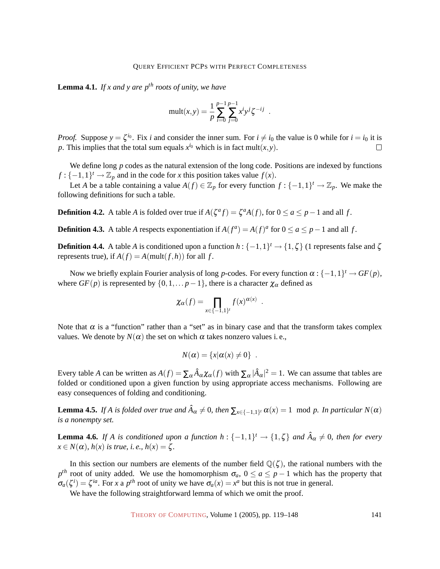**Lemma 4.1.** *If x and y are pth roots of unity, we have*

$$
mult(x, y) = \frac{1}{p} \sum_{i=0}^{p-1} \sum_{j=0}^{p-1} x^i y^j \zeta^{-ij} .
$$

*Proof.* Suppose  $y = \zeta^{i_0}$ . Fix *i* and consider the inner sum. For  $i \neq i_0$  the value is 0 while for  $i = i_0$  it is *p*. This implies that the total sum equals  $x^{i_0}$  which is in fact mult $(x, y)$ .  $\Box$ 

We define long *p* codes as the natural extension of the long code. Positions are indexed by functions  $f: \{-1,1\}^t \to \mathbb{Z}_p$  and in the code for *x* this position takes value  $f(x)$ .

Let *A* be a table containing a value  $A(f) \in \mathbb{Z}_p$  for every function  $f: \{-1,1\}^t \to \mathbb{Z}_p$ . We make the following definitions for such a table.

**Definition 4.2.** A table *A* is folded over true if  $A(\zeta^a f) = \zeta^a A(f)$ , for  $0 \le a \le p-1$  and all *f*.

**Definition 4.3.** A table *A* respects exponentiation if  $A(f^a) = A(f)^a$  for  $0 \le a \le p-1$  and all *f*.

**Definition 4.4.** A table *A* is conditioned upon a function  $h: \{-1,1\}^t \to \{1,\zeta\}$  (1 represents false and  $\zeta$ represents true), if  $A(f) = A(\text{mult}(f,h))$  for all f.

Now we briefly explain Fourier analysis of long *p*-codes. For every function  $\alpha : \{-1,1\}^t \to GF(p)$ , where  $GF(p)$  is represented by  $\{0,1,\ldots p-1\}$ , there is a character  $\chi_{\alpha}$  defined as

$$
\chi_{\alpha}(f) = \prod_{x \in \{-1,1\}^t} f(x)^{\alpha(x)}.
$$

Note that  $\alpha$  is a "function" rather than a "set" as in binary case and that the transform takes complex values. We denote by  $N(\alpha)$  the set on which  $\alpha$  takes nonzero values i.e.,

$$
N(\alpha) = \{x | \alpha(x) \neq 0\} .
$$

Every table *A* can be written as  $A(f) = \sum_{\alpha} \hat{A}_{\alpha} \chi_{\alpha}(f)$  with  $\sum_{\alpha} |\hat{A}_{\alpha}|^2 = 1$ . We can assume that tables are folded or conditioned upon a given function by using appropriate access mechanisms. Following are easy consequences of folding and conditioning.

**Lemma 4.5.** If A is folded over true and  $\hat{A}_{\alpha} \neq 0$ , then  $\sum_{x \in \{-1,1\}^t} \alpha(x) = 1 \mod p$ . In particular  $N(\alpha)$ *is a nonempty set.*

**Lemma 4.6.** If A is conditioned upon a function  $h: \{-1,1\}^t \to \{1,\zeta\}$  and  $\hat{A}_{\alpha} \neq 0$ , then for every  $x \in N(\alpha)$ ,  $h(x)$  *is true, i.e.,*  $h(x) = \zeta$ .

In this section our numbers are elements of the number field  $\mathbb{Q}(\zeta)$ , the rational numbers with the *p*<sup>th</sup> root of unity added. We use the homomorphism  $\sigma_a$ ,  $0 \le a \le p-1$  which has the property that  $\sigma_a(\zeta^i) = \zeta^{ia}$ . For *x* a *p*<sup>th</sup> root of unity we have  $\sigma_a(x) = x^a$  but this is not true in general.

<span id="page-22-0"></span>We have the following straightforward lemma of which we omit the proof.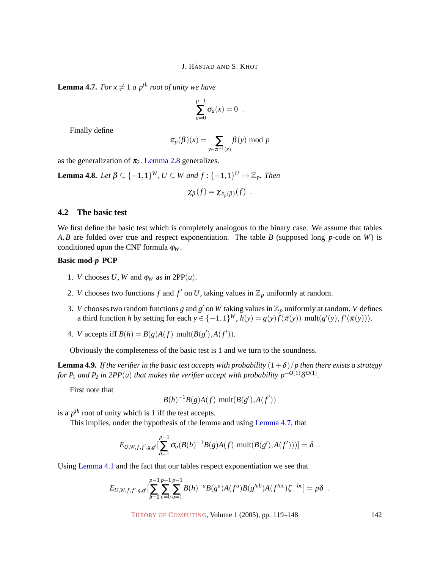**Lemma 4.7.** *For*  $x \neq 1$  *a*  $p^{th}$  *root of unity we have* 

$$
\sum_{a=0}^{p-1} \sigma_a(x) = 0 .
$$

Finally define

$$
\pi_p(\beta)(x) = \sum_{y \in \pi^{-1}(x)} \beta(y) \bmod p
$$

as the generalization of  $\pi_2$ . [Lemma 2.8](#page-6-0) generalizes.

**Lemma 4.8.** Let  $\beta \subseteq \{-1,1\}^W$ ,  $U \subseteq W$  and  $f : \{-1,1\}^U \rightarrow \mathbb{Z}_p$ . Then  $\chi_{\beta}(f) = \chi_{\pi_p(\beta)}(f)$ .

## **4.2 The basic test**

We first define the basic test which is completely analogous to the binary case. We assume that tables *A*,*B* are folded over true and respect exponentiation. The table *B* (supposed long *p*-code on *W*) is conditioned upon the CNF formula  $\varphi_W$ .

## **Basic mod-***p* **PCP**

- 1. *V* chooses *U*, *W* and  $\varphi_W$  as in 2PP(*u*).
- 2. *V* chooses two functions *f* and *f'* on *U*, taking values in  $\mathbb{Z}_p$  uniformly at random.
- 3. *V* chooses two random functions *g* and *g*' on *W* taking values in  $\mathbb{Z}_p$  uniformly at random. *V* defines a third function *h* by setting for each  $y \in \{-1,1\}^W$ ,  $h(y) = g(y)f(\pi(y))$  mult $(g'(y), f'(\pi(y)))$ .
- 4. *V* accepts iff  $B(h) = B(g)A(f)$  mult $(B(g'), A(f'))$ .

Obviously the completeness of the basic test is 1 and we turn to the soundness.

**Lemma 4.9.** *If the verifier in the basic test accepts with probability*  $(1+\delta)/p$  *then there exists a strategy* for  $P_1$  and  $P_2$  in 2PP(u) that makes the verifier accept with probability  $p^{-O(1)}\delta^{O(1)}.$ 

First note that

$$
B(h)^{-1}B(g)A(f)
$$
 mult $(B(g'),A(f'))$ 

is a  $p^{th}$  root of unity which is 1 iff the test accepts.

This implies, under the hypothesis of the lemma and using [Lemma 4.7,](#page-22-0) that

$$
E_{U,W,f,f',g,g'}[\sum_{a=1}^{p-1} \sigma_a(B(h)^{-1}B(g)A(f) \text{ mult}(B(g'),A(f')))] = \delta.
$$

Using [Lemma 4.1](#page-21-1) and the fact that our tables respect exponentiation we see that

$$
E_{U,W,f,f',g,g'}[\sum_{b=0}^{p-1}\sum_{c=0}^{p-1}\sum_{a=1}^{p-1}B(h)^{-a}B(g^{a})A(f^{a})B(g'^{ab})A(f'^{ac})\zeta^{-bc}]=p\delta.
$$

THEORY OF C[OMPUTING](http://dx.doi.org/10.4086/toc), Volume 1 (2005), pp. 119–148 142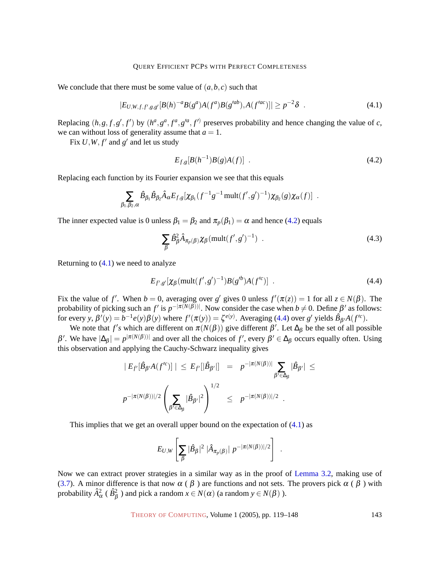We conclude that there must be some value of  $(a, b, c)$  such that

<span id="page-24-1"></span>
$$
|E_{U,W,f,f',g,g'}[B(h)^{-a}B(g^{a})A(f^{a})B(g'^{ab}),A(f'^{ac})]| \geq p^{-2}\delta
$$
 (4.1)

Replacing  $(h, g, f, g', f')$  by  $(h^a, g^a, f^a, g'^a, f')$  preserves probability and hence changing the value of *c*, we can without loss of generality assume that  $a = 1$ .

Fix  $U, W, f'$  and  $g'$  and let us study

<span id="page-24-0"></span>
$$
E_{f,g}[B(h^{-1})B(g)A(f)] . \t\t(4.2)
$$

Replacing each function by its Fourier expansion we see that this equals

$$
\sum_{\beta_1,\beta_2,\alpha} \hat{B}_{\beta_1} \hat{B}_{\beta_2} \hat{A}_{\alpha} E_{f,g} [\chi_{\beta_1} (f^{-1}g^{-1} \text{mult}(f',g')^{-1}) \chi_{\beta_2}(g) \chi_{\alpha}(f)] .
$$

The inner expected value is 0 unless  $\beta_1 = \beta_2$  and  $\pi_p(\beta_1) = \alpha$  and hence [\(4.2\)](#page-24-0) equals

$$
\sum_{\beta} \hat{B}_{\beta}^2 \hat{A}_{\pi_p(\beta)} \chi_{\beta} (\text{mult}(f', g')^{-1}) \quad . \tag{4.3}
$$

Returning to  $(4.1)$  we need to analyze

<span id="page-24-2"></span>
$$
E_{f',g'}[\chi_{\beta}(\text{mult}(f',g')^{-1})B(g'^b)A(f'^c)]\ .
$$
 (4.4)

Fix the value of *f'*. When  $b = 0$ , averaging over *g'* gives 0 unless  $f'(\pi(z)) = 1$  for all  $z \in N(\beta)$ . The probability of picking such an  $f'$  is  $p^{-|\pi(N(\beta))|}$ . Now consider the case when  $b \neq 0$ . Define  $\beta'$  as follows: for every *y*,  $\beta'(y) = b^{-1}e(y)\beta(y)$  where  $f'(\pi(y)) = \zeta^{e(y)}$ . Averaging [\(4.4\)](#page-24-2) over *g*' yields  $\hat{B}_{\beta'}A(f'^c)$ .

We note that  $f's$  which are different on  $\pi(N(\beta))$  give different  $\beta'$ . Let  $\Delta_{\beta}$  be the set of all possible β'. We have  $|∆<sub>β</sub>| = p<sup>|π(N(β))|</sup>$  and over all the choices of f', every  $β' ∈ ∆<sub>β</sub>$  occurs equally often. Using this observation and applying the Cauchy-Schwarz inequality gives

$$
|E_{f'}[\hat{B}_{\beta'}A(f'^c)]| \leq E_{f'}[|\hat{B}_{\beta'}|] = p^{-|\pi(N(\beta))|} \sum_{\beta' \in \Delta_{\beta}} |\hat{B}_{\beta'}| \leq
$$
  

$$
p^{-|\pi(N(\beta))|/2} \left(\sum_{\beta' \in \Delta_{\beta}} |\hat{B}_{\beta'}|^2\right)^{1/2} \leq p^{-|\pi(N(\beta))|/2}.
$$

This implies that we get an overall upper bound on the expectation of  $(4.1)$  as

$$
E_{U,W}\left[\sum_{\beta}|\hat{B}_{\beta}|^2\;|\hat{A}_{\pi_p(\beta)}|\;p^{-|\pi(N(\beta))|/2}\right]\;\;.
$$

Now we can extract prover strategies in a similar way as in the proof of [Lemma 3.2,](#page-7-2) making use of [\(3.7\)](#page-9-2). A minor difference is that now  $\alpha$  ( $\beta$ ) are functions and not sets. The provers pick  $\alpha$  ( $\beta$ ) with probability  $\hat{A}_{\alpha}^2$  (  $\hat{B}_{\beta}^2$  ) and pick a random  $x \in N(\alpha)$  (a random  $y \in N(\beta)$  ).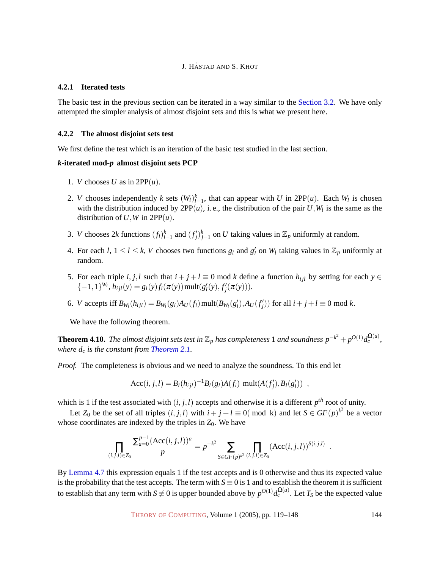#### **4.2.1 Iterated tests**

The basic test in the previous section can be iterated in a way similar to the Section [3.2. We have only](#page-10-0) attempted the simpler analysis of almost disjoint sets and this is what we present here.

#### **4.2.2 The almost disjoint sets test**

We first define the test which is an iteration of the basic test studied in the last section.

#### *k***-iterated mod-***p* **almost disjoint sets PCP**

- 1. *V* chooses *U* as in  $2PP(u)$ .
- 2. *V* chooses independently *k* sets  $(W_l)_{l=1}^k$ , that can appear with *U* in 2PP $(u)$ . Each  $W_l$  is chosen with the distribution induced by  $2PP(u)$ , i.e., the distribution of the pair  $U, W_l$  is the same as the distribution of  $U$ ,  $W$  in  $2PP(u)$ .
- 3. *V* chooses 2*k* functions  $(f_i)_{i=1}^k$  and  $(f'_j)_{j=1}^k$  on *U* taking values in  $\mathbb{Z}_p$  uniformly at random.
- 4. For each *l*,  $1 \le l \le k$ , *V* chooses two functions  $g_l$  and  $g'_l$  on  $W_l$  taking values in  $\mathbb{Z}_p$  uniformly at random.
- 5. For each triple *i*, *j*,*l* such that  $i + j + l \equiv 0 \mod k$  define a function  $h_{ijl}$  by setting for each  $y \in$  $\{-1,1\}^{W_l}, h_{ijl}(y) = g_l(y) f_i(\pi(y)) \text{ mult}(g'_l(y), f'_j(\pi(y))).$
- 6. *V* accepts iff  $B_{W_l}(h_{ijl}) = B_{W_l}(g_l)A_U(f_i)$  mult $(B_{W_l}(g'_l), A_U(f'_j))$  for all  $i + j + l \equiv 0$  mod k.

We have the following theorem.

**Theorem 4.10.** The almost disjoint sets test in  $\mathbb{Z}_p$  has completeness 1 and soundness  $p^{-k^2} + p^{O(1)} d_c^{\Omega(u)}$ , *where d<sup>c</sup> is the constant from [Theorem 2.1.](#page-4-0)*

*Proof.* The completeness is obvious and we need to analyze the soundness. To this end let

$$
Acc(i, j, l) = B_l(h_{ijl})^{-1} B_l(g_l) A(f_i) \text{ mult}(A(f'_j), B_l(g'_l)) ,
$$

which is 1 if the test associated with  $(i, j, l)$  accepts and otherwise it is a different  $p^{th}$  root of unity.

Let  $Z_0$  be the set of all triples  $(i, j, l)$  with  $i + j + l \equiv 0 \pmod{k}$  and let  $S \in GF(p)^{k^2}$  be a vector whose coordinates are indexed by the triples in  $Z_0$ . We have

$$
\prod_{(i,j,l)\in Z_0} \frac{\sum_{a=0}^{p-1} (\text{Acc}(i,j,l))^a}{p} = p^{-k^2} \sum_{S \in GF(p)^{k^2}} \prod_{(i,j,l)\in Z_0} (\text{Acc}(i,j,l))^{S(i,j,l)}
$$

By [Lemma 4.7](#page-22-0) this expression equals 1 if the test accepts and is 0 otherwise and thus its expected value is the probability that the test accepts. The term with  $S \equiv 0$  is 1 and to establish the theorem it is sufficient to establish that any term with  $S \not\equiv 0$  is upper bounded above by  $p^{O(1)} d_c^{\Omega(u)}$ . Let  $T_S$  be the expected value

THEORY OF C[OMPUTING](http://dx.doi.org/10.4086/toc), Volume 1 (2005), pp. 119–148 144

.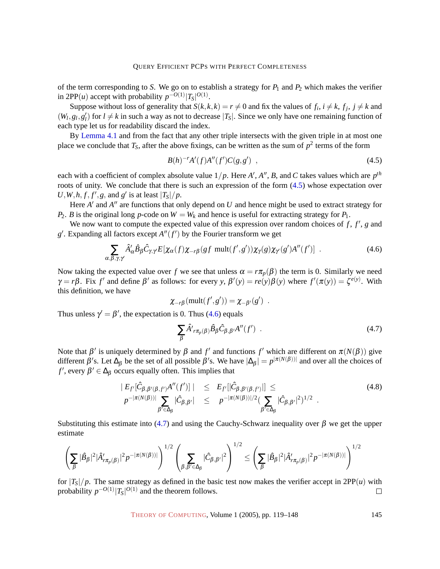of the term corresponding to *S*. We go on to establish a strategy for  $P_1$  and  $P_2$  which makes the verifier in 2PP(*u*) accept with probability  $p^{-O(1)}|T_S|^{O(1)}$ .

Suppose without loss of generality that  $S(k, k, k) = r \neq 0$  and fix the values of  $f_i$ ,  $i \neq k$ ,  $f_j$ ,  $j \neq k$  and  $(W_l, g_l, g'_l)$  for  $l \neq k$  in such a way as not to decrease  $|T_s|$ . Since we only have one remaining function of each type let us for readability discard the index.

By [Lemma 4.1](#page-21-1) and from the fact that any other triple intersects with the given triple in at most one place we conclude that  $T_S$ , after the above fixings, can be written as the sum of  $p^2$  terms of the form

<span id="page-26-0"></span>
$$
B(h)^{-r}A'(f)A''(f')C(g,g') , \qquad (4.5)
$$

each with a coefficient of complex absolute value  $1/p$ . Here *A'*, *A''*, *B*, and *C* takes values which are  $p^{th}$ roots of unity. We conclude that there is such an expression of the form [\(4.5\)](#page-26-0) whose expectation over  $U$ *, W, h, f, f'*, *g*, and *g'* is at least  $|T_S|/p$ .

Here  $A'$  and  $A''$  are functions that only depend on  $U$  and hence might be used to extract strategy for *P*<sub>2</sub>. *B* is the original long *p*-code on  $W = W_k$  and hence is useful for extracting strategy for  $P_1$ .

We now want to compute the expected value of this expression over random choices of  $f$ ,  $f'$ ,  $g$  and  $g'$ . Expanding all factors except  $A''(f')$  by the Fourier transform we get

<span id="page-26-1"></span>
$$
\sum_{\alpha,\beta,\gamma,\gamma'} \hat{A}'_{\alpha} \hat{B}_{\beta} \hat{C}_{\gamma,\gamma'} E[\chi_{\alpha}(f)\chi_{-r\beta}(gf \text{ mult}(f',g'))\chi_{\gamma}(g)\chi_{\gamma'}(g')A''(f')] . \qquad (4.6)
$$

Now taking the expected value over *f* we see that unless  $\alpha = r \pi_p(\beta)$  the term is 0. Similarly we need  $\gamma = r\beta$ . Fix *f'* and define  $\beta'$  as follows: for every *y*,  $\beta'(y) = re(y)\beta(y)$  where  $f'(\pi(y)) = \zeta^{e(y)}$ . With this definition, we have

$$
\chi_{-r\beta}(\text{mult}(f',g')) = \chi_{-\beta'}(g') .
$$

Thus unless  $\gamma' = \beta'$ , the expectation is 0. Thus [\(4.6\)](#page-26-1) equals

<span id="page-26-2"></span>
$$
\sum_{\beta} \hat{A'}_{r\pi_p(\beta)} \hat{B}_{\beta} \hat{C}_{\beta,\beta'} A''(f') . \tag{4.7}
$$

Note that  $\beta'$  is uniquely determined by  $\beta$  and  $f'$  and functions  $f'$  which are different on  $\pi(N(\beta))$  give different  $\beta'$ s. Let  $\Delta_{\beta}$  be the set of all possible  $\beta'$ s. We have  $|\Delta_{\beta}| = p^{|\pi(N(\beta))|}$  and over all the choices of *f'*, every  $\beta' \in \Delta_{\beta}$  occurs equally often. This implies that

$$
|E_{f'}[\hat{C}_{\beta,\beta'(\beta,f')}A''(f')]| \leq E_{f'}[|\hat{C}_{\beta,\beta'(\beta,f')}|] \leq
$$
  
\n
$$
p^{-|\pi(N(\beta))|} \sum_{\beta' \in \Delta_{\beta}} |\hat{C}_{\beta,\beta'}| \leq p^{-|\pi(N(\beta))|/2} (\sum_{\beta' \in \Delta_{\beta}} |\hat{C}_{\beta,\beta'}|^2)^{1/2}.
$$
\n(4.8)

Substituting this estimate into [\(4.7\)](#page-26-2) and using the Cauchy-Schwarz inequality over  $\beta$  we get the upper estimate

$$
\left(\sum_\beta |\hat B_\beta|^2|\hat A_{r\pi_p(\beta)}'|^2p^{-|\pi(N(\beta))|}\right)^{1/2}\left(\sum_{\beta,\beta'\in\Delta_\beta}|\hat C_{\beta,\beta'}|^2\right)^{1/2}\leq \left(\sum_\beta |\hat B_\beta|^2|\hat A_{r\pi_p(\beta)}'|^2p^{-|\pi(N(\beta))|}\right)^{1/2}
$$

for  $|T_S|/p$ . The same strategy as defined in the basic test now makes the verifier accept in 2PP(*u*) with probability  $p^{-O(1)}|T_S|^{O(1)}$  and the theorem follows.  $\Box$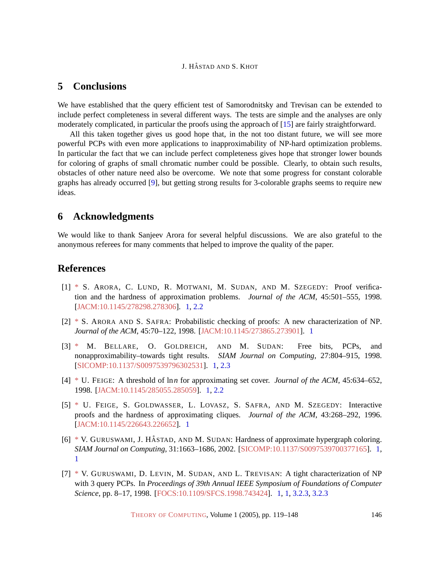# <span id="page-27-7"></span>**5 Conclusions**

We have established that the query efficient test of Samorodnitsky and Trevisan can be extended to include perfect completeness in several different ways. The tests are simple and the analyses are only moderately complicated, in particular the proofs using the approach of [\[15\]](#page-28-5) are fairly straightforward.

All this taken together gives us good hope that, in the not too distant future, we will see more powerful PCPs with even more applications to inapproximability of NP-hard optimization problems. In particular the fact that we can include perfect completeness gives hope that stronger lower bounds for coloring of graphs of small chromatic number could be possible. Clearly, to obtain such results, obstacles of other nature need also be overcome. We note that some progress for constant colorable graphs has already occurred [\[9\]](#page-28-7), but getting strong results for 3-colorable graphs seems to require new ideas.

# **6 Acknowledgments**

We would like to thank Sanjeev Arora for several helpful discussions. We are also grateful to the anonymous referees for many comments that helped to improve the quality of the paper.

# **References**

- <span id="page-27-1"></span>[1] [\\*](http://theoryofcomputing.org/articles/main/v001/a007/bibliography.html#almss) S. ARORA, C. LUND, R. MOTWANI, M. SUDAN, AND M. SZEGEDY: Proof verification and the hardness of approximation problems. *Journal of the ACM*, 45:501–555, 1998. [\[JACM:10.1145/278298.278306\]](http://doi.acm.org/10.1145/278298.278306). [1,](#page-1-1) [2.2](#page-3-1)
- <span id="page-27-0"></span>[2] [\\*](http://theoryofcomputing.org/articles/main/v001/a007/bibliography.html#arsa) S. ARORA AND S. SAFRA: Probabilistic checking of proofs: A new characterization of NP. *Journal of the ACM*, 45:70–122, 1998. [\[JACM:10.1145/273865.273901\]](http://doi.acm.org/10.1145/273865.273901). [1](#page-1-1)
- <span id="page-27-3"></span>[3] [\\*](http://theoryofcomputing.org/articles/main/v001/a007/bibliography.html#bgs) M. BELLARE, O. GOLDREICH, AND M. SUDAN: Free bits, PCPs, and nonapproximability–towards tight results. *SIAM Journal on Computing*, 27:804–915, 1998. [\[SICOMP:10.1137/S0097539796302531\]](http://dx.doi.org/10.1137/S0097539796302531). [1,](#page-1-1) [2.3](#page-4-1)
- <span id="page-27-4"></span>[4] [\\*](http://theoryofcomputing.org/articles/main/v001/a007/bibliography.html#f) U. FEIGE: A threshold of ln*n* for approximating set cover. *Journal of the ACM*, 45:634–652, 1998. [\[JACM:10.1145/285055.285059\]](http://doi.acm.org/10.1145/285055.285059). [1,](#page-1-1) [2.2](#page-3-1)
- <span id="page-27-2"></span>[5] [\\*](http://theoryofcomputing.org/articles/main/v001/a007/bibliography.html#fglss) U. FEIGE, S. GOLDWASSER, L. LOVASZ, S. SAFRA, AND M. SZEGEDY: Interactive proofs and the hardness of approximating cliques. *Journal of the ACM*, 43:268–292, 1996. [\[JACM:10.1145/226643.226652\]](http://doi.acm.org/10.1145/226643.226652). [1](#page-1-1)
- <span id="page-27-5"></span> $[6]$  [\\*](http://theoryofcomputing.org/articles/main/v001/a007/bibliography.html#ghs) V. GURUSWAMI, J. HÅSTAD, AND M. SUDAN: Hardness of approximate hypergraph coloring. *SIAM Journal on Computing*, 31:1663–1686, 2002. [\[SICOMP:10.1137/S0097539700377165\]](http://dx.doi.org/10.1137/S0097539700377165). [1,](#page-1-1) [1](#page-3-2)
- <span id="page-27-6"></span>[7] [\\*](http://theoryofcomputing.org/articles/main/v001/a007/bibliography.html#glst) V. GURUSWAMI, D. LEVIN, M. SUDAN, AND L. TREVISAN: A tight characterization of NP with 3 query PCPs. In *Proceedings of 39th Annual IEEE Symposium of Foundations of Computer Science*, pp. 8–17, 1998. [\[FOCS:10.1109/SFCS.1998.743424\]](http://doi.ieeecomputersociety.org//10.1109/SFCS.1998.743424). [1,](#page-2-0) [1,](#page-2-1) [3.2.3,](#page-16-2) [3.2.3](#page-18-0)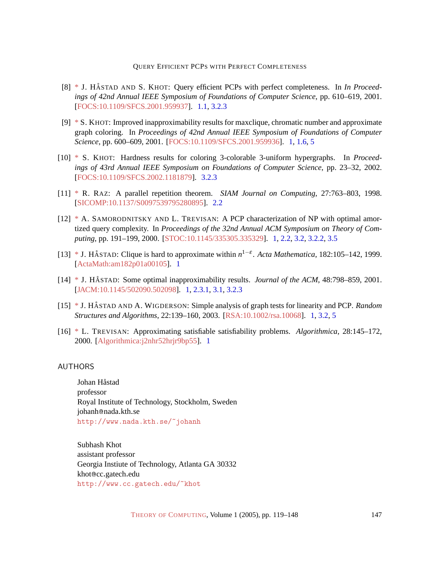- <span id="page-28-8"></span>[8] [\\*](http://theoryofcomputing.org/articles/main/v001/a007/bibliography.html#hk) J. HÅSTAD AND S. KHOT: Query efficient PCPs with perfect completeness. In *In Proceedings of 42nd Annual IEEE Symposium of Foundations of Computer Science*, pp. 610–619, 2001. [\[FOCS:10.1109/SFCS.2001.959937\]](http://doi.ieeecomputersociety.org//10.1109/SFCS.2001.959937). [1.1,](#page-3-3) [3.2.3](#page-16-2)
- <span id="page-28-7"></span>[9] [\\*](http://theoryofcomputing.org/articles/main/v001/a007/bibliography.html#kh) S. KHOT: Improved inapproximability results for maxclique, chromatic number and approximate graph coloring. In *Proceedings of 42nd Annual IEEE Symposium of Foundations of Computer Science*, pp. 600–609, 2001. [\[FOCS:10.1109/SFCS.2001.959936\]](http://doi.ieeecomputersociety.org//10.1109/SFCS.2001.959936). [1,](#page-2-3) [1.6,](#page-3-2) [5](#page-27-7)
- <span id="page-28-10"></span>[10] [\\*](http://theoryofcomputing.org/articles/main/v001/a007/bibliography.html#k33) S. KHOT: Hardness results for coloring 3-colorable 3-uniform hypergraphs. In *Proceedings of 43rd Annual IEEE Symposium on Foundations of Computer Science*, pp. 23–32, 2002. [\[FOCS:10.1109/SFCS.2002.1181879\]](http://doi.ieeecomputersociety.org//10.1109/SFCS.2002.1181879). [3.2.3](#page-16-2)
- <span id="page-28-9"></span>[11] [\\*](http://theoryofcomputing.org/articles/main/v001/a007/bibliography.html#r) R. RAZ: A parallel repetition theorem. *SIAM Journal on Computing*, 27:763–803, 1998. [\[SICOMP:10.1137/S0097539795280895\]](http://dx.doi.org/10.1137/S0097539795280895). [2.2](#page-4-2)
- <span id="page-28-4"></span>[12] [\\*](http://theoryofcomputing.org/articles/main/v001/a007/bibliography.html#st) A. SAMORODNITSKY AND L. TREVISAN: A PCP characterization of NP with optimal amortized query complexity. In *Proceedings of the 32nd Annual ACM Symposium on Theory of Computing*, pp. 191–199, 2000. [\[STOC:10.1145/335305.335329\]](http://doi.acm.org/10.1145/335305.335329). [1,](#page-1-1) [2.2,](#page-3-1) [3.2,](#page-10-0) [3.2.2,](#page-14-1) [3.5](#page-14-2)
- <span id="page-28-3"></span>[13] [\\*](http://theoryofcomputing.org/articles/main/v001/a007/bibliography.html#hastad) J. HÅSTAD: Clique is hard to approximate within  $n^{1-\epsilon}$ . *Acta Mathematica*, 182:105–142, 1999. [\[ActaMath:am182p01a00105\]](http://www.actamathematica.org/Secure/am182p01a00105.pdf). [1](#page-1-1)
- <span id="page-28-2"></span>[14] [\\*](http://theoryofcomputing.org/articles/main/v001/a007/bibliography.html#h) J. HÅSTAD: Some optimal inapproximability results. *Journal of the ACM*, 48:798–859, 2001. [\[JACM:10.1145/502090.502098\]](http://doi.acm.org/10.1145/502090.502098). [1,](#page-1-1) [2.3.1,](#page-6-3) [3.1,](#page-9-0) [3.2.3](#page-18-0)
- <span id="page-28-5"></span>[15] [\\*](http://theoryofcomputing.org/articles/main/v001/a007/bibliography.html#hw) J. HÅSTAD AND A. WIGDERSON: Simple analysis of graph tests for linearity and PCP. *Random Structures and Algorithms*, 22:139–160, 2003. [\[RSA:10.1002/rsa.10068\]](http://dx.doi.org/10.1002/rsa.10068). [1,](#page-2-0) [3.2,](#page-10-0) [5](#page-27-7)
- <span id="page-28-6"></span>[16] [\\*](http://theoryofcomputing.org/articles/main/v001/a007/bibliography.html#t) L. TREVISAN: Approximating satisfiable satisfiability problems. *Algorithmica*, 28:145–172, 2000. [\[Algorithmica:j2nhr52hrjr9bp55\]](http://springerlink.metapress.com/link.asp?id=j2nhr52hrjr9bp55). [1](#page-2-1)

#### <span id="page-28-0"></span>AUTHORS

Johan Håstad professor Royal Institute of Technology, Stockholm, Sweden johanh@nada.kth.se <http://www.nada.kth.se/~johanh>

<span id="page-28-1"></span>Subhash Khot assistant professor Georgia Instiute of Technology, Atlanta GA 30332 khot@cc.gatech.edu <http://www.cc.gatech.edu/~khot>